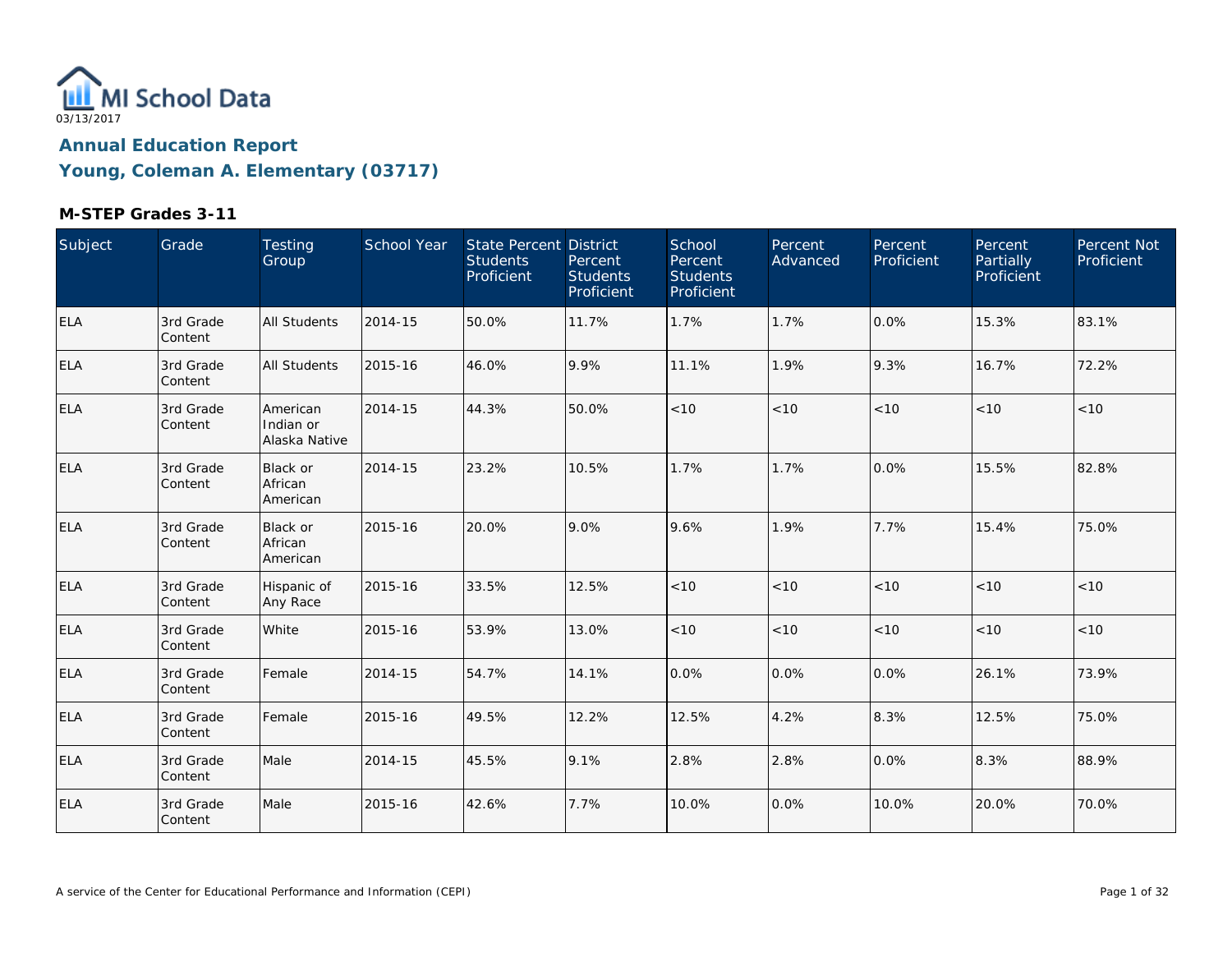

### **Young, Coleman A. Elementary (03717)**

| Subject    | Grade                | Testing<br>Group                       | School Year | State Percent District<br><b>Students</b><br>Proficient | Percent<br><b>Students</b><br>Proficient | School<br>Percent<br><b>Students</b><br>Proficient | Percent<br>Advanced | Percent<br>Proficient | Percent<br><b>Partially</b><br>Proficient | Percent Not<br>Proficient |
|------------|----------------------|----------------------------------------|-------------|---------------------------------------------------------|------------------------------------------|----------------------------------------------------|---------------------|-----------------------|-------------------------------------------|---------------------------|
| <b>ELA</b> | 3rd Grade<br>Content | <b>All Students</b>                    | 2014-15     | 50.0%                                                   | 11.7%                                    | 1.7%                                               | 1.7%                | 0.0%                  | 15.3%                                     | 83.1%                     |
| <b>ELA</b> | 3rd Grade<br>Content | <b>All Students</b>                    | 2015-16     | 46.0%                                                   | 9.9%                                     | 11.1%                                              | 1.9%                | 9.3%                  | 16.7%                                     | 72.2%                     |
| <b>ELA</b> | 3rd Grade<br>Content | American<br>Indian or<br>Alaska Native | 2014-15     | 44.3%                                                   | 50.0%                                    | < 10                                               | < 10                | < 10                  | < 10                                      | < 10                      |
| <b>ELA</b> | 3rd Grade<br>Content | <b>Black or</b><br>African<br>American | 2014-15     | 23.2%                                                   | 10.5%                                    | 1.7%                                               | 1.7%                | 0.0%                  | 15.5%                                     | 82.8%                     |
| <b>ELA</b> | 3rd Grade<br>Content | <b>Black or</b><br>African<br>American | 2015-16     | 20.0%                                                   | 9.0%                                     | 9.6%                                               | 1.9%                | 7.7%                  | 15.4%                                     | 75.0%                     |
| <b>ELA</b> | 3rd Grade<br>Content | Hispanic of<br>Any Race                | 2015-16     | 33.5%                                                   | 12.5%                                    | < 10                                               | < 10                | < 10                  | < 10                                      | < 10                      |
| <b>ELA</b> | 3rd Grade<br>Content | White                                  | 2015-16     | 53.9%                                                   | 13.0%                                    | $<10$                                              | $<10$               | $<10$                 | < 10                                      | < 10                      |
| <b>ELA</b> | 3rd Grade<br>Content | Female                                 | 2014-15     | 54.7%                                                   | 14.1%                                    | 0.0%                                               | 0.0%                | 0.0%                  | 26.1%                                     | 73.9%                     |
| <b>ELA</b> | 3rd Grade<br>Content | Female                                 | 2015-16     | 49.5%                                                   | 12.2%                                    | 12.5%                                              | 4.2%                | 8.3%                  | 12.5%                                     | 75.0%                     |
| <b>ELA</b> | 3rd Grade<br>Content | Male                                   | 2014-15     | 45.5%                                                   | 9.1%                                     | 2.8%                                               | 2.8%                | 0.0%                  | 8.3%                                      | 88.9%                     |
| <b>ELA</b> | 3rd Grade<br>Content | Male                                   | 2015-16     | 42.6%                                                   | 7.7%                                     | 10.0%                                              | 0.0%                | 10.0%                 | 20.0%                                     | 70.0%                     |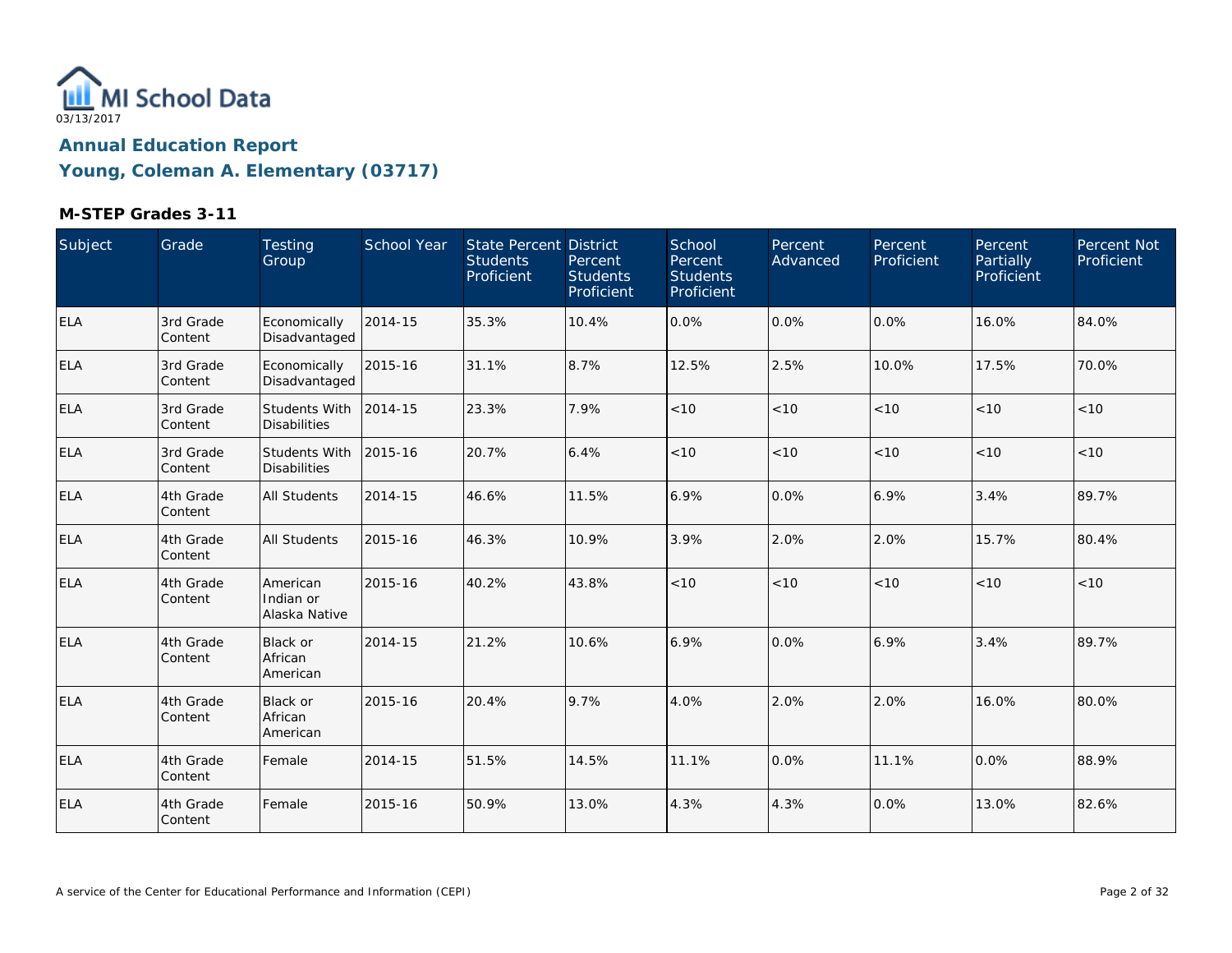

| Subject    | Grade                | Testing<br>Group                            | School Year | <b>State Percent District</b><br><b>Students</b><br>Proficient | Percent<br><b>Students</b><br>Proficient | School<br>Percent<br><b>Students</b><br>Proficient | Percent<br>Advanced | Percent<br>Proficient | Percent<br>Partially<br>Proficient | Percent Not<br>Proficient |
|------------|----------------------|---------------------------------------------|-------------|----------------------------------------------------------------|------------------------------------------|----------------------------------------------------|---------------------|-----------------------|------------------------------------|---------------------------|
| <b>ELA</b> | 3rd Grade<br>Content | Economically<br>Disadvantaged               | 2014-15     | 35.3%                                                          | 10.4%                                    | 0.0%                                               | 0.0%                | $0.0\%$               | 16.0%                              | 84.0%                     |
| <b>ELA</b> | 3rd Grade<br>Content | Economically<br>Disadvantaged               | 2015-16     | 31.1%                                                          | 8.7%                                     | 12.5%                                              | 2.5%                | 10.0%                 | 17.5%                              | 70.0%                     |
| <b>ELA</b> | 3rd Grade<br>Content | Students With<br><b>Disabilities</b>        | 2014-15     | 23.3%                                                          | 7.9%                                     | < 10                                               | < 10                | < 10                  | < 10                               | < 10                      |
| <b>ELA</b> | 3rd Grade<br>Content | <b>Students With</b><br><b>Disabilities</b> | 2015-16     | 20.7%                                                          | 6.4%                                     | < 10                                               | < 10                | < 10                  | < 10                               | $<10$                     |
| <b>ELA</b> | 4th Grade<br>Content | <b>All Students</b>                         | 2014-15     | 46.6%                                                          | 11.5%                                    | 6.9%                                               | 0.0%                | 6.9%                  | 3.4%                               | 89.7%                     |
| <b>ELA</b> | 4th Grade<br>Content | All Students                                | 2015-16     | 46.3%                                                          | 10.9%                                    | 3.9%                                               | 2.0%                | 2.0%                  | 15.7%                              | 80.4%                     |
| <b>ELA</b> | 4th Grade<br>Content | American<br>Indian or<br>Alaska Native      | 2015-16     | 40.2%                                                          | 43.8%                                    | < 10                                               | < 10                | < 10                  | < 10                               | < 10                      |
| <b>ELA</b> | 4th Grade<br>Content | Black or<br>African<br>American             | 2014-15     | 21.2%                                                          | 10.6%                                    | 6.9%                                               | 0.0%                | 6.9%                  | 3.4%                               | 89.7%                     |
| ELA        | 4th Grade<br>Content | Black or<br>African<br>American             | 2015-16     | 20.4%                                                          | 9.7%                                     | 4.0%                                               | 2.0%                | 2.0%                  | 16.0%                              | 80.0%                     |
| <b>ELA</b> | 4th Grade<br>Content | Female                                      | 2014-15     | 51.5%                                                          | 14.5%                                    | 11.1%                                              | 0.0%                | 11.1%                 | 0.0%                               | 88.9%                     |
| <b>ELA</b> | 4th Grade<br>Content | Female                                      | 2015-16     | 50.9%                                                          | 13.0%                                    | 4.3%                                               | 4.3%                | 0.0%                  | 13.0%                              | 82.6%                     |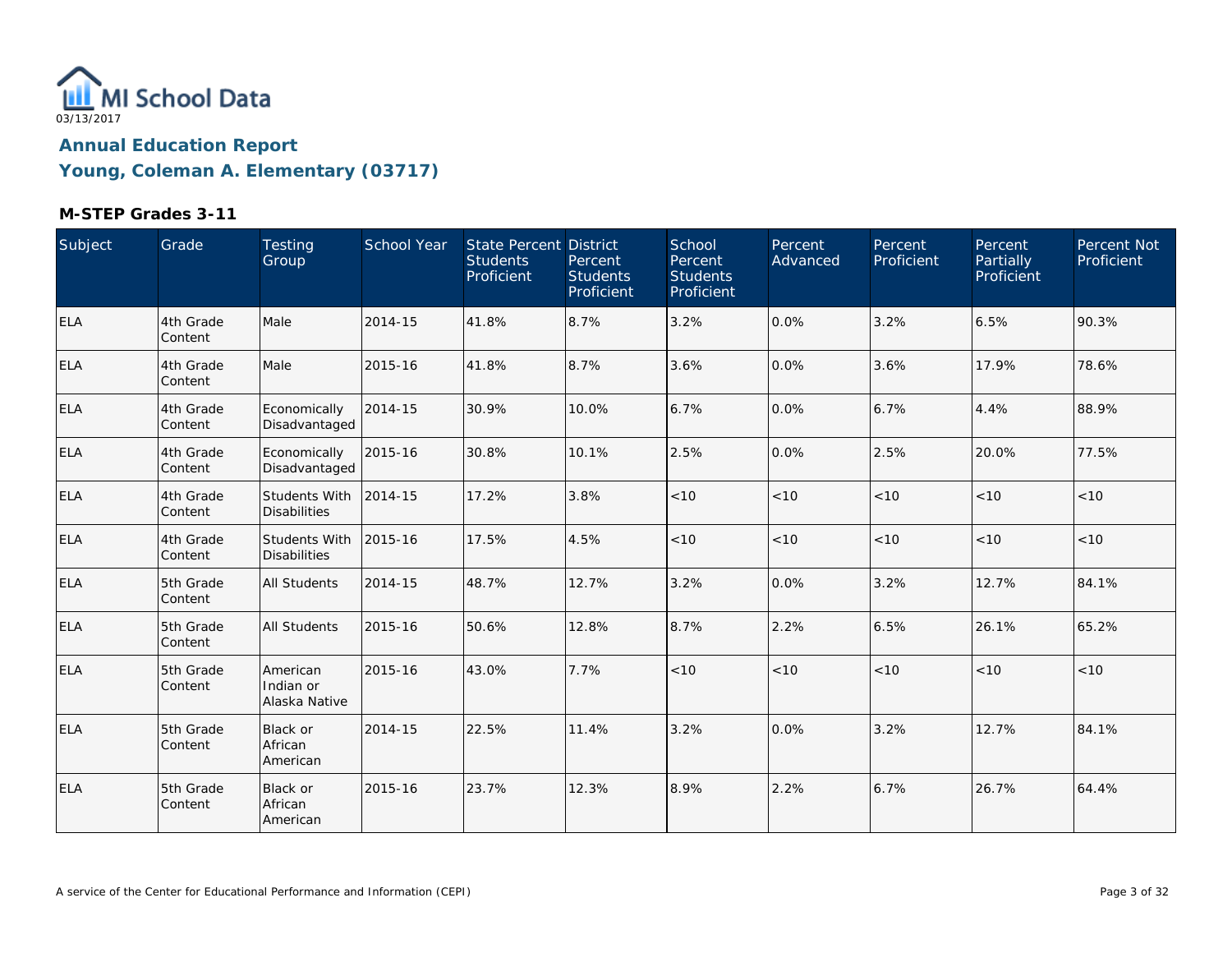

## **Young, Coleman A. Elementary (03717)**

| Subject    | <b>Grade</b>          | Testing<br>Group                            | School Year | <b>State Percent District</b><br><b>Students</b><br>Proficient | Percent<br><b>Students</b><br>Proficient | School<br>Percent<br><b>Students</b><br>Proficient | Percent<br>Advanced | Percent<br>Proficient | Percent<br>Partially<br>Proficient | Percent Not<br>Proficient |
|------------|-----------------------|---------------------------------------------|-------------|----------------------------------------------------------------|------------------------------------------|----------------------------------------------------|---------------------|-----------------------|------------------------------------|---------------------------|
| <b>ELA</b> | 4th Grade<br>Content  | Male                                        | 2014-15     | 41.8%                                                          | 8.7%                                     | 3.2%                                               | 0.0%                | 3.2%                  | 6.5%                               | 90.3%                     |
| <b>ELA</b> | 4th Grade<br>Content  | Male                                        | 2015-16     | 41.8%                                                          | 8.7%                                     | 3.6%                                               | 0.0%                | 3.6%                  | 17.9%                              | 78.6%                     |
| ELA        | 4th Grade<br>Content  | Economically<br>Disadvantaged               | 2014-15     | 30.9%                                                          | 10.0%                                    | 6.7%                                               | 0.0%                | 6.7%                  | 4.4%                               | 88.9%                     |
| ELA        | 4th Grade<br>Content  | Economically<br>Disadvantaged               | 2015-16     | 30.8%                                                          | 10.1%                                    | 2.5%                                               | 0.0%                | 2.5%                  | 20.0%                              | 77.5%                     |
| ELA        | 4th Grade<br>Content  | Students With<br><b>Disabilities</b>        | 2014-15     | 17.2%                                                          | 3.8%                                     | < 10                                               | < 10                | < 10                  | < 10                               | < 10                      |
| <b>ELA</b> | 4th Grade<br> Content | <b>Students With</b><br><b>Disabilities</b> | 2015-16     | 17.5%                                                          | 4.5%                                     | $<10$                                              | < 10                | < 10                  | < 10                               | < 10                      |
| <b>ELA</b> | 5th Grade<br>Content  | All Students                                | 2014-15     | 48.7%                                                          | 12.7%                                    | 3.2%                                               | 0.0%                | 3.2%                  | 12.7%                              | 84.1%                     |
| ELA        | 5th Grade<br>Content  | <b>All Students</b>                         | 2015-16     | 50.6%                                                          | 12.8%                                    | 8.7%                                               | 2.2%                | 6.5%                  | 26.1%                              | 65.2%                     |
| <b>ELA</b> | 5th Grade<br>Content  | American<br>Indian or<br>Alaska Native      | 2015-16     | 43.0%                                                          | 7.7%                                     | < 10                                               | < 10                | < 10                  | < 10                               | < 10                      |
| ELA        | 5th Grade<br>Content  | Black or<br>African<br>American             | 2014-15     | 22.5%                                                          | 11.4%                                    | 3.2%                                               | 0.0%                | 3.2%                  | 12.7%                              | 84.1%                     |
| <b>ELA</b> | 5th Grade<br>Content  | <b>Black or</b><br>African<br>American      | 2015-16     | 23.7%                                                          | 12.3%                                    | 8.9%                                               | 2.2%                | 6.7%                  | 26.7%                              | 64.4%                     |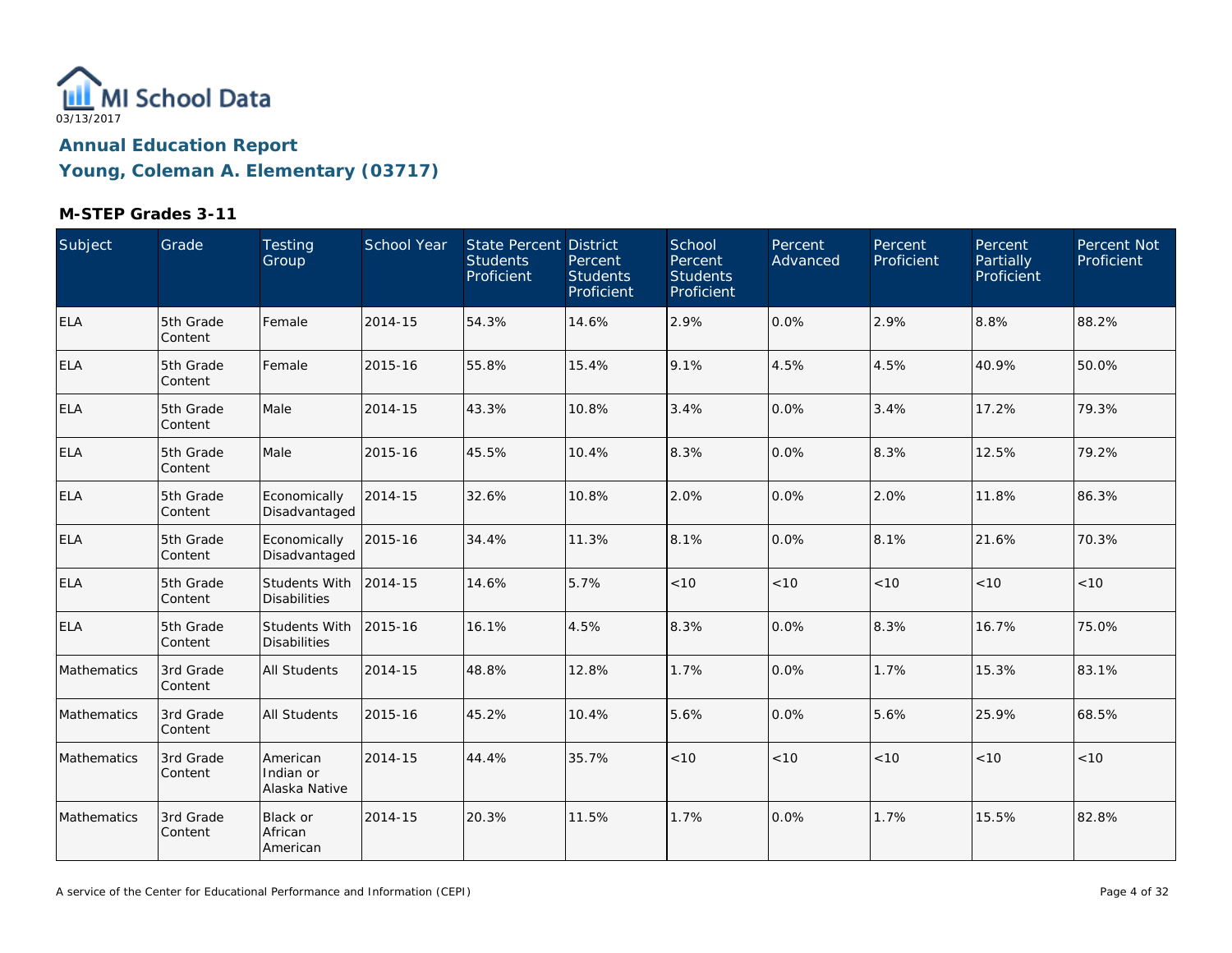

### **Young, Coleman A. Elementary (03717)**

| Subject     | Grade                | Testing<br>Group                       | School Year | <b>State Percent District</b><br><b>Students</b><br>Proficient | Percent<br><b>Students</b><br>Proficient | School<br>Percent<br><b>Students</b><br>Proficient | Percent<br>Advanced | Percent<br>Proficient | <b>Percent</b><br>Partially<br>Proficient | Percent Not<br>Proficient |
|-------------|----------------------|----------------------------------------|-------------|----------------------------------------------------------------|------------------------------------------|----------------------------------------------------|---------------------|-----------------------|-------------------------------------------|---------------------------|
| <b>ELA</b>  | 5th Grade<br>Content | Female                                 | 2014-15     | 54.3%                                                          | 14.6%                                    | 2.9%                                               | 0.0%                | 2.9%                  | 8.8%                                      | 88.2%                     |
| ELA         | 5th Grade<br>Content | Female                                 | 2015-16     | 55.8%                                                          | 15.4%                                    | 9.1%                                               | 4.5%                | 4.5%                  | 40.9%                                     | 50.0%                     |
| <b>ELA</b>  | 5th Grade<br>Content | Male                                   | 2014-15     | 43.3%                                                          | 10.8%                                    | 3.4%                                               | 0.0%                | 3.4%                  | 17.2%                                     | 79.3%                     |
| <b>ELA</b>  | 5th Grade<br>Content | Male                                   | 2015-16     | 45.5%                                                          | 10.4%                                    | 8.3%                                               | 0.0%                | 8.3%                  | 12.5%                                     | 79.2%                     |
| <b>ELA</b>  | 5th Grade<br>Content | Economically<br>Disadvantaged          | 2014-15     | 32.6%                                                          | 10.8%                                    | 2.0%                                               | 0.0%                | 2.0%                  | 11.8%                                     | 86.3%                     |
| <b>ELA</b>  | 5th Grade<br>Content | Economically<br>Disadvantaged          | 2015-16     | 34.4%                                                          | 11.3%                                    | 8.1%                                               | 0.0%                | 8.1%                  | 21.6%                                     | 70.3%                     |
| ELA         | 5th Grade<br>Content | Students With<br><b>Disabilities</b>   | 2014-15     | 14.6%                                                          | 5.7%                                     | < 10                                               | < 10                | < 10                  | < 10                                      | < 10                      |
| <b>ELA</b>  | 5th Grade<br>Content | Students With<br><b>Disabilities</b>   | 2015-16     | 16.1%                                                          | 4.5%                                     | 8.3%                                               | 0.0%                | 8.3%                  | 16.7%                                     | 75.0%                     |
| Mathematics | 3rd Grade<br>Content | All Students                           | 2014-15     | 48.8%                                                          | 12.8%                                    | 1.7%                                               | 0.0%                | 1.7%                  | 15.3%                                     | 83.1%                     |
| Mathematics | 3rd Grade<br>Content | All Students                           | 2015-16     | 45.2%                                                          | 10.4%                                    | 5.6%                                               | 0.0%                | 5.6%                  | 25.9%                                     | 68.5%                     |
| Mathematics | 3rd Grade<br>Content | American<br>Indian or<br>Alaska Native | 2014-15     | 44.4%                                                          | 35.7%                                    | < 10                                               | < 10                | < 10                  | < 10                                      | $<10$                     |
| Mathematics | 3rd Grade<br>Content | Black or<br>African<br>American        | 2014-15     | 20.3%                                                          | 11.5%                                    | 1.7%                                               | 0.0%                | 1.7%                  | 15.5%                                     | 82.8%                     |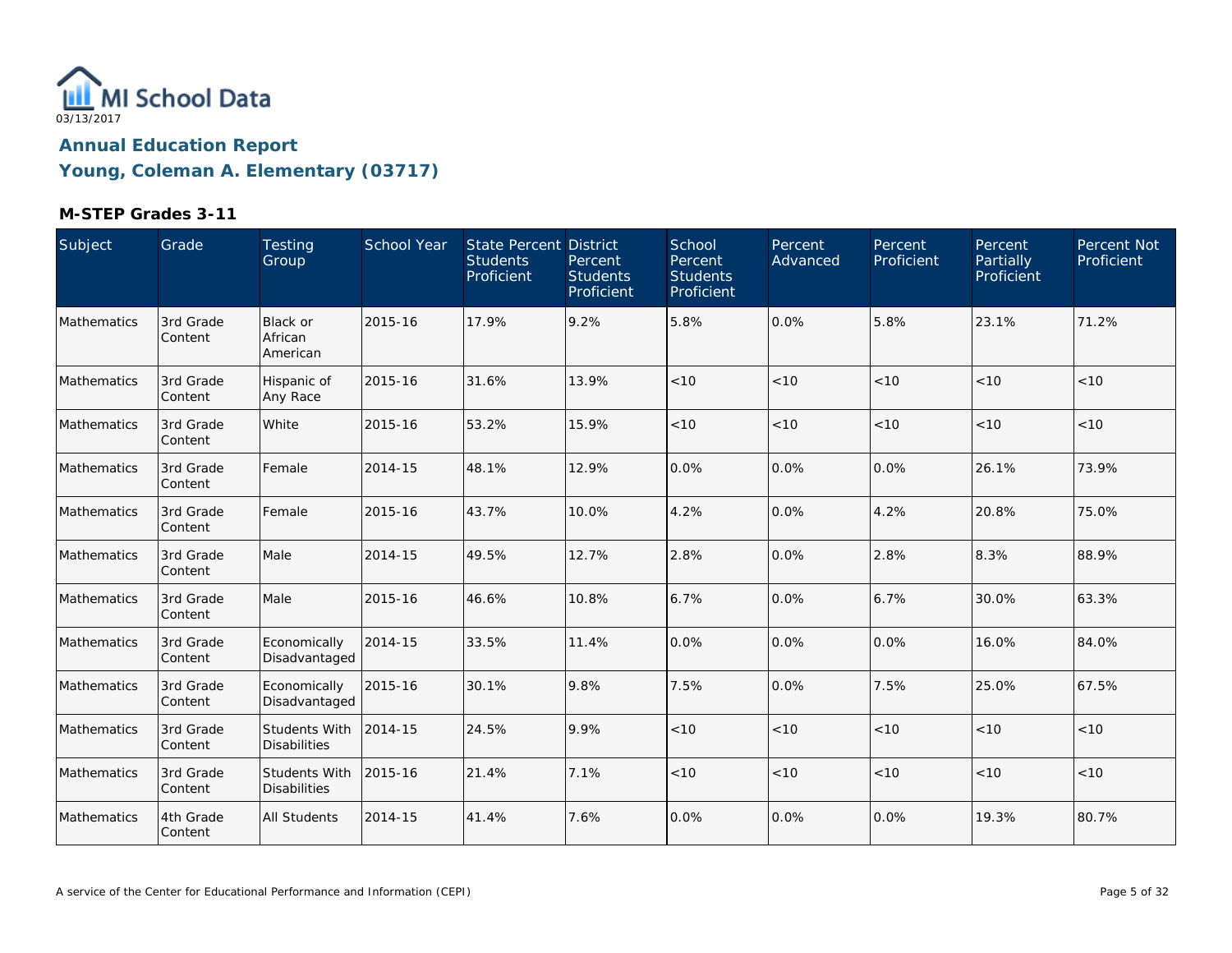

| Subject     | Grade                | Testing<br>Group                            | <b>School Year</b> | State Percent District<br><b>Students</b><br>Proficient | Percent<br><b>Students</b><br>Proficient | School<br>Percent<br><b>Students</b><br>Proficient | Percent<br>Advanced | Percent<br>Proficient | Percent<br>Partially<br>Proficient | Percent Not<br>Proficient |
|-------------|----------------------|---------------------------------------------|--------------------|---------------------------------------------------------|------------------------------------------|----------------------------------------------------|---------------------|-----------------------|------------------------------------|---------------------------|
| Mathematics | 3rd Grade<br>Content | Black or<br>African<br>American             | 2015-16            | 17.9%                                                   | 9.2%                                     | 5.8%                                               | 0.0%                | 5.8%                  | 23.1%                              | 71.2%                     |
| Mathematics | 3rd Grade<br>Content | Hispanic of<br>Any Race                     | 2015-16            | 31.6%                                                   | 13.9%                                    | < 10                                               | < 10                | < 10                  | < 10                               | < 10                      |
| Mathematics | 3rd Grade<br>Content | White                                       | 2015-16            | 53.2%                                                   | 15.9%                                    | < 10                                               | < 10                | < 10                  | < 10                               | < 10                      |
| Mathematics | 3rd Grade<br>Content | Female                                      | 2014-15            | 48.1%                                                   | 12.9%                                    | 0.0%                                               | 0.0%                | $0.0\%$               | 26.1%                              | 73.9%                     |
| Mathematics | 3rd Grade<br>Content | Female                                      | 2015-16            | 43.7%                                                   | 10.0%                                    | 4.2%                                               | 0.0%                | 4.2%                  | 20.8%                              | 75.0%                     |
| Mathematics | 3rd Grade<br>Content | Male                                        | 2014-15            | 49.5%                                                   | 12.7%                                    | 2.8%                                               | 0.0%                | 2.8%                  | 8.3%                               | 88.9%                     |
| Mathematics | 3rd Grade<br>Content | Male                                        | 2015-16            | 46.6%                                                   | 10.8%                                    | 6.7%                                               | 0.0%                | 6.7%                  | 30.0%                              | 63.3%                     |
| Mathematics | 3rd Grade<br>Content | Economically<br>Disadvantaged               | 2014-15            | 33.5%                                                   | 11.4%                                    | 0.0%                                               | 0.0%                | 0.0%                  | 16.0%                              | 84.0%                     |
| Mathematics | 3rd Grade<br>Content | Economically<br>Disadvantaged               | 2015-16            | 30.1%                                                   | 9.8%                                     | 7.5%                                               | 0.0%                | 7.5%                  | 25.0%                              | 67.5%                     |
| Mathematics | 3rd Grade<br>Content | <b>Students With</b><br><b>Disabilities</b> | 2014-15            | 24.5%                                                   | 9.9%                                     | < 10                                               | < 10                | < 10                  | < 10                               | < 10                      |
| Mathematics | 3rd Grade<br>Content | <b>Students With</b><br><b>Disabilities</b> | 2015-16            | 21.4%                                                   | 7.1%                                     | < 10                                               | < 10                | < 10                  | < 10                               | < 10                      |
| Mathematics | 4th Grade<br>Content | All Students                                | 2014-15            | 41.4%                                                   | 7.6%                                     | 0.0%                                               | 0.0%                | 0.0%                  | 19.3%                              | 80.7%                     |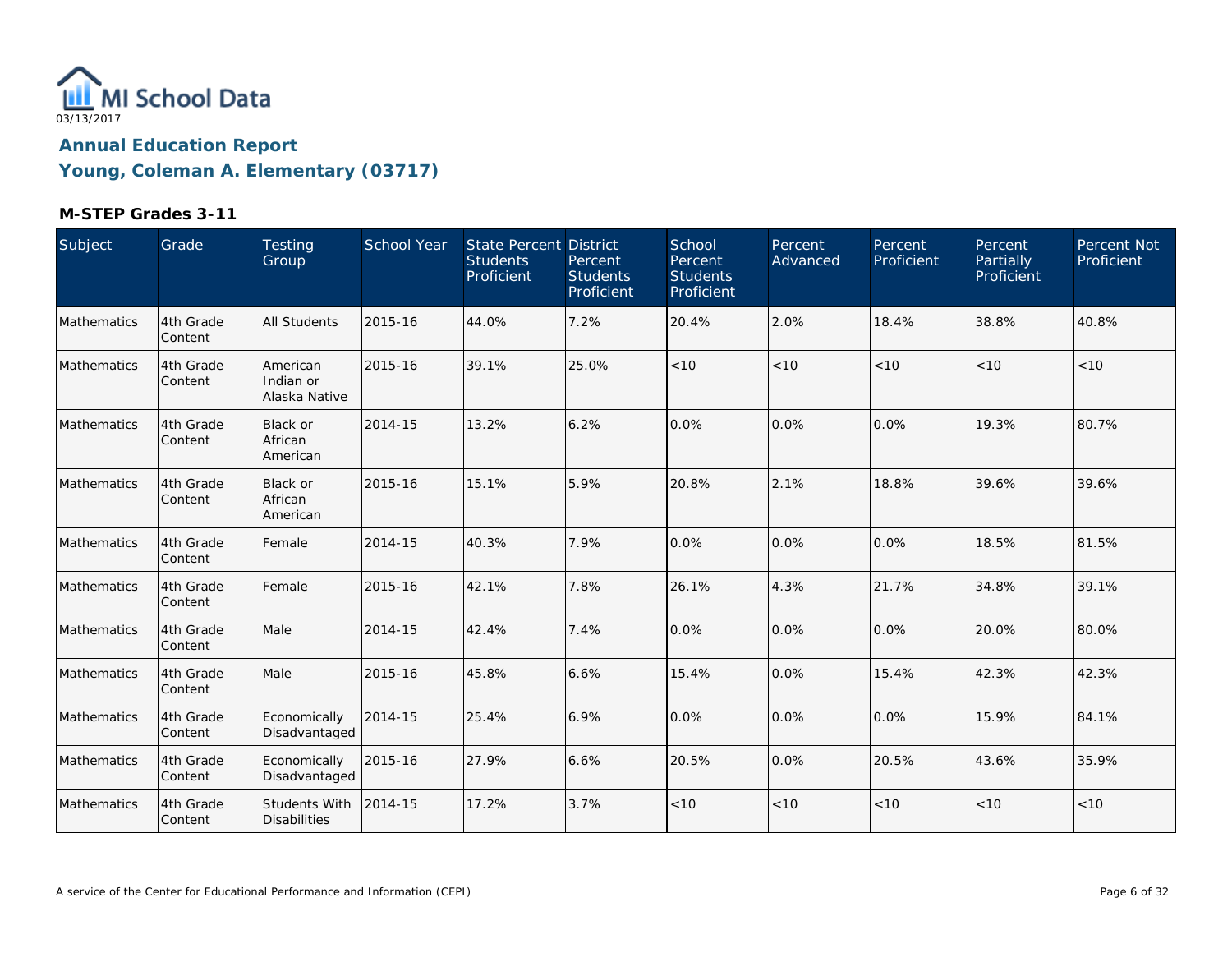

| Subject     | Grade                | Testing<br>Group                       | School Year | State Percent District<br><b>Students</b><br>Proficient | Percent<br><b>Students</b><br>Proficient | School<br>Percent<br><b>Students</b><br>Proficient | Percent<br>Advanced | Percent<br>Proficient | Percent,<br>Partially<br>Proficient | Percent Not<br>Proficient |
|-------------|----------------------|----------------------------------------|-------------|---------------------------------------------------------|------------------------------------------|----------------------------------------------------|---------------------|-----------------------|-------------------------------------|---------------------------|
| Mathematics | 4th Grade<br>Content | <b>All Students</b>                    | 2015-16     | 44.0%                                                   | 7.2%                                     | 20.4%                                              | 2.0%                | 18.4%                 | 38.8%                               | 40.8%                     |
| Mathematics | 4th Grade<br>Content | American<br>Indian or<br>Alaska Native | 2015-16     | 39.1%                                                   | 25.0%                                    | < 10                                               | < 10                | < 10                  | < 10                                | < 10                      |
| Mathematics | 4th Grade<br>Content | <b>Black or</b><br>African<br>American | 2014-15     | 13.2%                                                   | 6.2%                                     | 0.0%                                               | 0.0%                | 0.0%                  | 19.3%                               | 80.7%                     |
| Mathematics | 4th Grade<br>Content | <b>Black or</b><br>African<br>American | 2015-16     | 15.1%                                                   | 5.9%                                     | 20.8%                                              | 2.1%                | 18.8%                 | 39.6%                               | 39.6%                     |
| Mathematics | 4th Grade<br>Content | Female                                 | 2014-15     | 40.3%                                                   | 7.9%                                     | 0.0%                                               | 0.0%                | $0.0\%$               | 18.5%                               | 81.5%                     |
| Mathematics | 4th Grade<br>Content | Female                                 | 2015-16     | 42.1%                                                   | 7.8%                                     | 26.1%                                              | 4.3%                | 21.7%                 | 34.8%                               | 39.1%                     |
| Mathematics | 4th Grade<br>Content | Male                                   | 2014-15     | 42.4%                                                   | 7.4%                                     | 0.0%                                               | 0.0%                | 0.0%                  | 20.0%                               | 80.0%                     |
| Mathematics | 4th Grade<br>Content | Male                                   | 2015-16     | 45.8%                                                   | 6.6%                                     | 15.4%                                              | 0.0%                | 15.4%                 | 42.3%                               | 42.3%                     |
| Mathematics | 4th Grade<br>Content | Economically<br>Disadvantaged          | 2014-15     | 25.4%                                                   | 6.9%                                     | 0.0%                                               | 0.0%                | 0.0%                  | 15.9%                               | 84.1%                     |
| Mathematics | 4th Grade<br>Content | Economically<br>Disadvantaged          | 2015-16     | 27.9%                                                   | 6.6%                                     | 20.5%                                              | 0.0%                | 20.5%                 | 43.6%                               | 35.9%                     |
| Mathematics | 4th Grade<br>Content | Students With<br><b>Disabilities</b>   | 2014-15     | 17.2%                                                   | 3.7%                                     | < 10                                               | < 10                | < 10                  | < 10                                | < 10                      |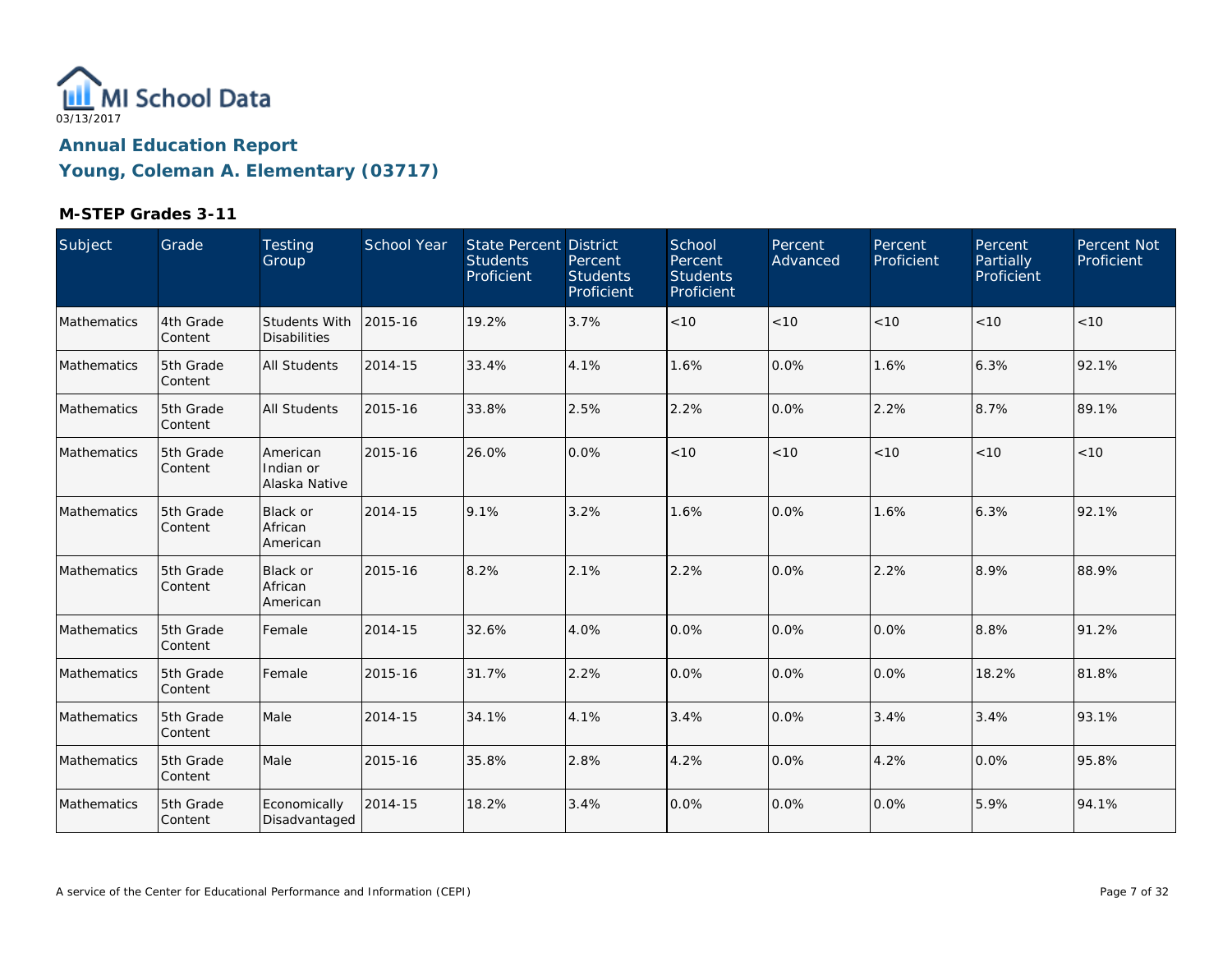

| Subject     | Grade                | Testing<br>Group                            | School Year | State Percent District<br><b>Students</b><br>Proficient | Percent<br><b>Students</b><br>Proficient | School<br>Percent<br><b>Students</b><br>Proficient | Percent<br>Advanced | Percent<br>Proficient | Percent<br><b>Partially</b><br>Proficient | Percent Not<br>Proficient |
|-------------|----------------------|---------------------------------------------|-------------|---------------------------------------------------------|------------------------------------------|----------------------------------------------------|---------------------|-----------------------|-------------------------------------------|---------------------------|
| Mathematics | 4th Grade<br>Content | <b>Students With</b><br><b>Disabilities</b> | 2015-16     | 19.2%                                                   | 3.7%                                     | < 10                                               | < 10                | < 10                  | < 10                                      | < 10                      |
| Mathematics | 5th Grade<br>Content | <b>All Students</b>                         | 2014-15     | 33.4%                                                   | 4.1%                                     | 1.6%                                               | 0.0%                | 1.6%                  | 6.3%                                      | 92.1%                     |
| Mathematics | 5th Grade<br>Content | <b>All Students</b>                         | 2015-16     | 33.8%                                                   | 2.5%                                     | 2.2%                                               | 0.0%                | 2.2%                  | 8.7%                                      | 89.1%                     |
| Mathematics | 5th Grade<br>Content | American<br>Indian or<br>Alaska Native      | 2015-16     | 26.0%                                                   | 0.0%                                     | < 10                                               | < 10                | < 10                  | < 10                                      | < 10                      |
| Mathematics | 5th Grade<br>Content | <b>Black or</b><br>African<br>American      | 2014-15     | 9.1%                                                    | 3.2%                                     | 1.6%                                               | 0.0%                | 1.6%                  | 6.3%                                      | 92.1%                     |
| Mathematics | 5th Grade<br>Content | <b>Black or</b><br>African<br>American      | 2015-16     | 8.2%                                                    | 2.1%                                     | 2.2%                                               | 0.0%                | 2.2%                  | 8.9%                                      | 88.9%                     |
| Mathematics | 5th Grade<br>Content | Female                                      | 2014-15     | 32.6%                                                   | 4.0%                                     | 0.0%                                               | 0.0%                | $0.0\%$               | 8.8%                                      | 91.2%                     |
| Mathematics | 5th Grade<br>Content | Female                                      | 2015-16     | 31.7%                                                   | 2.2%                                     | 0.0%                                               | 0.0%                | $0.0\%$               | 18.2%                                     | 81.8%                     |
| Mathematics | 5th Grade<br>Content | Male                                        | 2014-15     | 34.1%                                                   | 4.1%                                     | 3.4%                                               | 0.0%                | 3.4%                  | 3.4%                                      | 93.1%                     |
| Mathematics | 5th Grade<br>Content | Male                                        | 2015-16     | 35.8%                                                   | 2.8%                                     | 4.2%                                               | 0.0%                | 4.2%                  | 0.0%                                      | 95.8%                     |
| Mathematics | 5th Grade<br>Content | Economically<br>Disadvantaged               | 2014-15     | 18.2%                                                   | 3.4%                                     | 0.0%                                               | 0.0%                | $0.0\%$               | 5.9%                                      | 94.1%                     |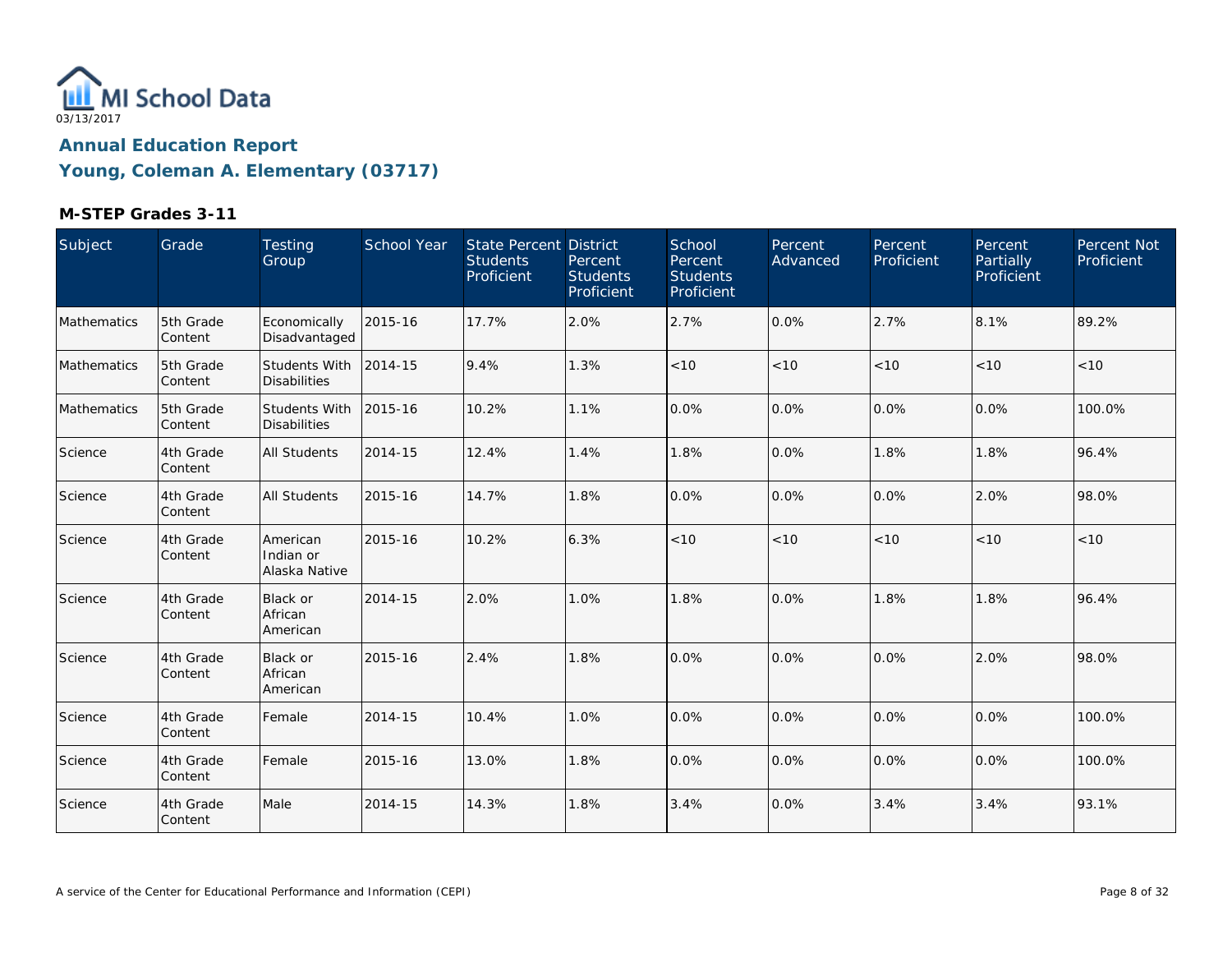

| Subject     | Grade                | Testing<br>Group                            | School Year | State Percent District<br><b>Students</b><br>Proficient | Percent<br><b>Students</b><br>Proficient | School<br>Percent<br><b>Students</b><br>Proficient | Percent<br>Advanced | Percent<br>Proficient | Percent<br><b>Partially</b><br>Proficient | Percent Not<br>Proficient |
|-------------|----------------------|---------------------------------------------|-------------|---------------------------------------------------------|------------------------------------------|----------------------------------------------------|---------------------|-----------------------|-------------------------------------------|---------------------------|
| Mathematics | 5th Grade<br>Content | Economically<br>Disadvantaged               | 2015-16     | 17.7%                                                   | 2.0%                                     | 2.7%                                               | 0.0%                | 2.7%                  | 8.1%                                      | 89.2%                     |
| Mathematics | 5th Grade<br>Content | <b>Students With</b><br><b>Disabilities</b> | 2014-15     | 9.4%                                                    | 1.3%                                     | < 10                                               | < 10                | < 10                  | < 10                                      | $<10$                     |
| Mathematics | 5th Grade<br>Content | <b>Students With</b><br><b>Disabilities</b> | 2015-16     | 10.2%                                                   | 1.1%                                     | 0.0%                                               | 0.0%                | 0.0%                  | 0.0%                                      | 100.0%                    |
| Science     | 4th Grade<br>Content | <b>All Students</b>                         | 2014-15     | 12.4%                                                   | 1.4%                                     | 1.8%                                               | 0.0%                | 1.8%                  | 1.8%                                      | 96.4%                     |
| Science     | 4th Grade<br>Content | <b>All Students</b>                         | 2015-16     | 14.7%                                                   | 1.8%                                     | 0.0%                                               | 0.0%                | 0.0%                  | 2.0%                                      | 98.0%                     |
| Science     | 4th Grade<br>Content | American<br>Indian or<br>Alaska Native      | 2015-16     | 10.2%                                                   | 6.3%                                     | < 10                                               | < 10                | < 10                  | < 10                                      | < 10                      |
| Science     | 4th Grade<br>Content | Black or<br>African<br>American             | 2014-15     | 2.0%                                                    | 1.0%                                     | 1.8%                                               | 0.0%                | 1.8%                  | 1.8%                                      | 96.4%                     |
| Science     | 4th Grade<br>Content | Black or<br>African<br>American             | 2015-16     | 2.4%                                                    | 1.8%                                     | 0.0%                                               | 0.0%                | $0.0\%$               | 2.0%                                      | 98.0%                     |
| Science     | 4th Grade<br>Content | Female                                      | 2014-15     | 10.4%                                                   | 1.0%                                     | 0.0%                                               | 0.0%                | 0.0%                  | 0.0%                                      | 100.0%                    |
| Science     | 4th Grade<br>Content | Female                                      | 2015-16     | 13.0%                                                   | 1.8%                                     | 0.0%                                               | 0.0%                | $0.0\%$               | 0.0%                                      | 100.0%                    |
| Science     | 4th Grade<br>Content | Male                                        | 2014-15     | 14.3%                                                   | 1.8%                                     | 3.4%                                               | 0.0%                | 3.4%                  | 3.4%                                      | 93.1%                     |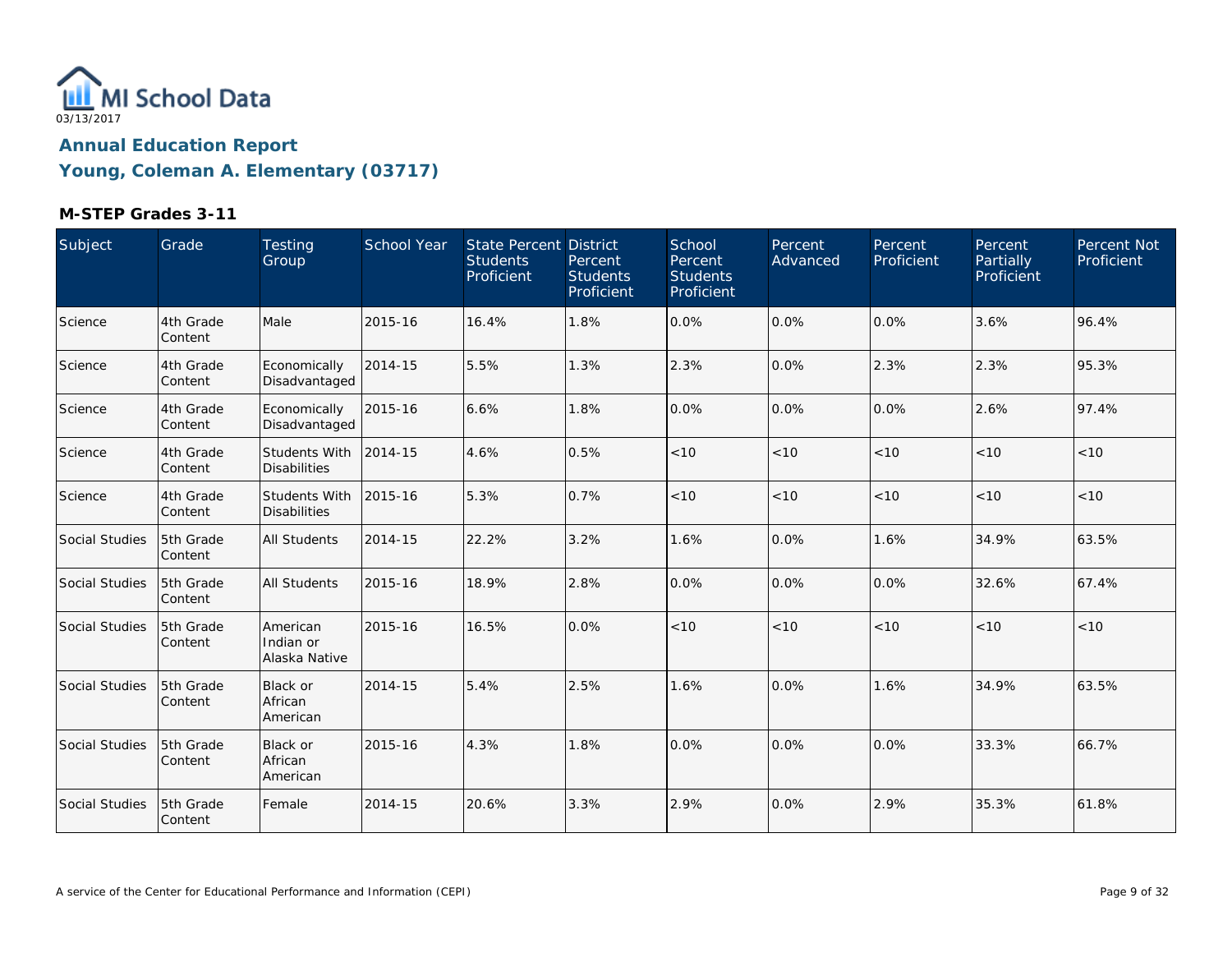

| Subject               | Grade                | Testing<br>Group                            | School Year | State Percent District<br><b>Students</b><br>Proficient | Percent<br><b>Students</b><br>Proficient | School<br>Percent<br><b>Students</b><br>Proficient | Percent<br>Advanced | Percent<br>Proficient | Percent<br>Partially<br>Proficient | Percent Not<br>Proficient |
|-----------------------|----------------------|---------------------------------------------|-------------|---------------------------------------------------------|------------------------------------------|----------------------------------------------------|---------------------|-----------------------|------------------------------------|---------------------------|
| Science               | 4th Grade<br>Content | Male                                        | 2015-16     | 16.4%                                                   | 1.8%                                     | 0.0%                                               | 0.0%                | 0.0%                  | 3.6%                               | 96.4%                     |
| Science               | 4th Grade<br>Content | Economically<br>Disadvantaged               | 2014-15     | 5.5%                                                    | 1.3%                                     | 2.3%                                               | 0.0%                | 2.3%                  | 2.3%                               | 95.3%                     |
| Science               | 4th Grade<br>Content | Economically<br>Disadvantaged               | 2015-16     | 6.6%                                                    | 1.8%                                     | 0.0%                                               | 0.0%                | $0.0\%$               | 2.6%                               | 97.4%                     |
| Science               | 4th Grade<br>Content | Students With<br><b>Disabilities</b>        | 2014-15     | 4.6%                                                    | 0.5%                                     | < 10                                               | < 10                | < 10                  | < 10                               | < 10                      |
| Science               | 4th Grade<br>Content | <b>Students With</b><br><b>Disabilities</b> | 2015-16     | 5.3%                                                    | 0.7%                                     | < 10                                               | < 10                | < 10                  | < 10                               | < 10                      |
| Social Studies        | 5th Grade<br>Content | <b>All Students</b>                         | 2014-15     | 22.2%                                                   | 3.2%                                     | 1.6%                                               | 0.0%                | 1.6%                  | 34.9%                              | 63.5%                     |
| Social Studies        | 5th Grade<br>Content | <b>All Students</b>                         | 2015-16     | 18.9%                                                   | 2.8%                                     | 0.0%                                               | 0.0%                | 0.0%                  | 32.6%                              | 67.4%                     |
| Social Studies        | 5th Grade<br>Content | American<br>Indian or<br>Alaska Native      | 2015-16     | 16.5%                                                   | 0.0%                                     | < 10                                               | < 10                | < 10                  | < 10                               | < 10                      |
| Social Studies        | 5th Grade<br>Content | <b>Black or</b><br>African<br>American      | 2014-15     | 5.4%                                                    | 2.5%                                     | 1.6%                                               | 0.0%                | 1.6%                  | 34.9%                              | 63.5%                     |
| <b>Social Studies</b> | 5th Grade<br>Content | <b>Black or</b><br>African<br>American      | 2015-16     | 4.3%                                                    | 1.8%                                     | 0.0%                                               | 0.0%                | $0.0\%$               | 33.3%                              | 66.7%                     |
| Social Studies        | 5th Grade<br>Content | Female                                      | 2014-15     | 20.6%                                                   | 3.3%                                     | 2.9%                                               | 0.0%                | 2.9%                  | 35.3%                              | 61.8%                     |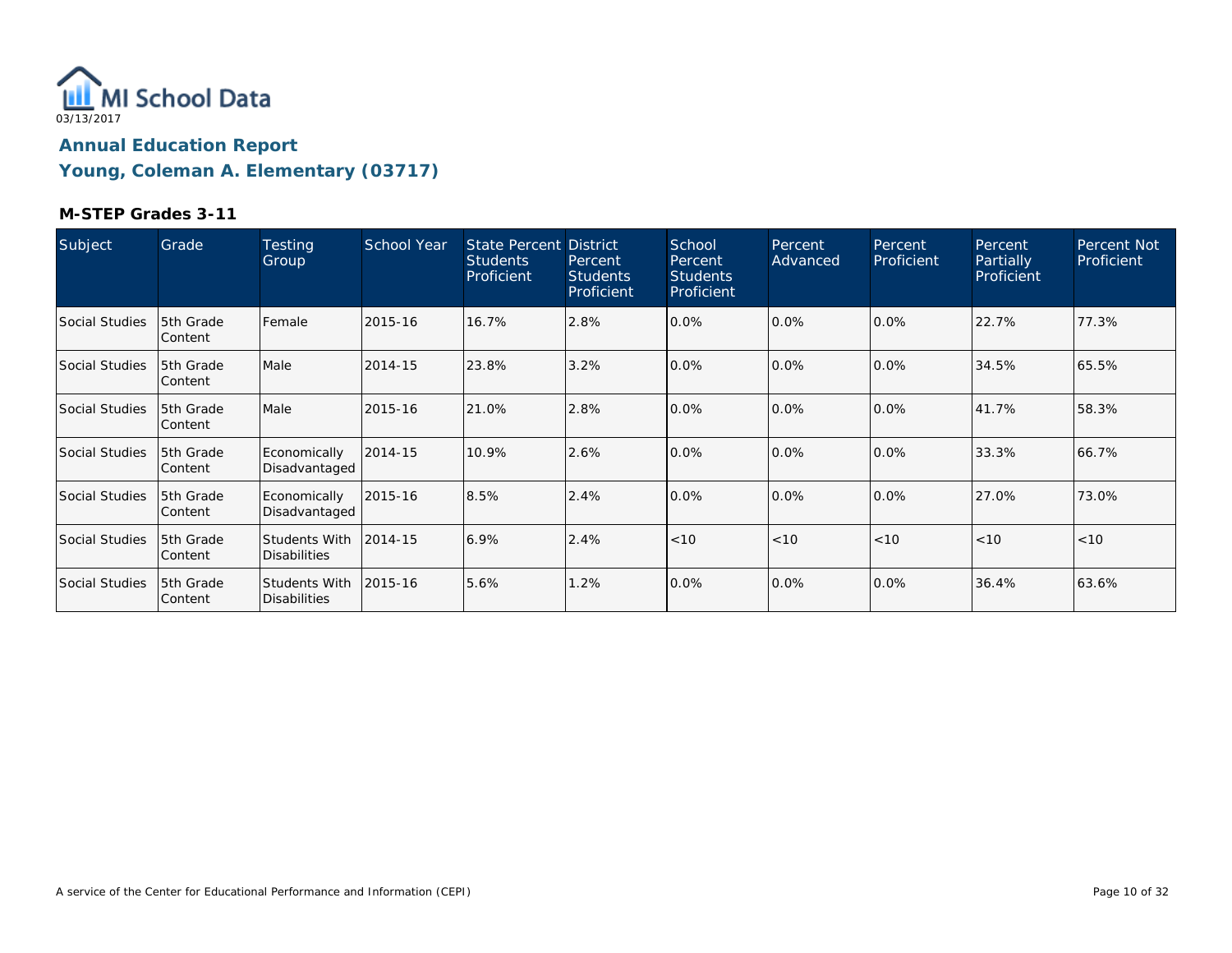

| Subject        | Grade                 | <b>Testing</b><br>Group                      | <b>School Year</b> | <b>State Percent District</b><br><b>Students</b><br>Proficient | Percent<br><b>Students</b><br>Proficient | School<br>Percent<br><b>Students</b><br>Proficient | Percent<br>Advanced | Percent<br>Proficient | Percent<br>Partially<br>Proficient | Percent Not<br>Proficient |
|----------------|-----------------------|----------------------------------------------|--------------------|----------------------------------------------------------------|------------------------------------------|----------------------------------------------------|---------------------|-----------------------|------------------------------------|---------------------------|
| Social Studies | 5th Grade<br>Content  | Female                                       | 2015-16            | 16.7%                                                          | 2.8%                                     | 0.0%                                               | 0.0%                | $0.0\%$               | 22.7%                              | 77.3%                     |
| Social Studies | 5th Grade<br> Content | Male                                         | 2014-15            | 23.8%                                                          | 3.2%                                     | 0.0%                                               | 0.0%                | $0.0\%$               | 34.5%                              | 65.5%                     |
| Social Studies | 5th Grade<br> Content | Male                                         | 2015-16            | 21.0%                                                          | 2.8%                                     | 0.0%                                               | 0.0%                | 0.0%                  | 41.7%                              | 58.3%                     |
| Social Studies | 5th Grade<br>Content  | Economically<br>Disadvantaged                | 2014-15            | 10.9%                                                          | 2.6%                                     | 0.0%                                               | 0.0%                | 0.0%                  | 33.3%                              | 66.7%                     |
| Social Studies | 5th Grade<br> Content | Economically<br>Disadvantaged                | 2015-16            | 8.5%                                                           | 2.4%                                     | 0.0%                                               | 0.0%                | 0.0%                  | 27.0%                              | 73.0%                     |
| Social Studies | 5th Grade<br> Content | Students With<br><b>Disabilities</b>         | 2014-15            | 6.9%                                                           | 2.4%                                     | < 10                                               | < 10                | < 10                  | < 10                               | < 10                      |
| Social Studies | 5th Grade<br>Content  | Students With 2015-16<br><b>Disabilities</b> |                    | 5.6%                                                           | 1.2%                                     | 0.0%                                               | 0.0%                | 0.0%                  | 36.4%                              | 63.6%                     |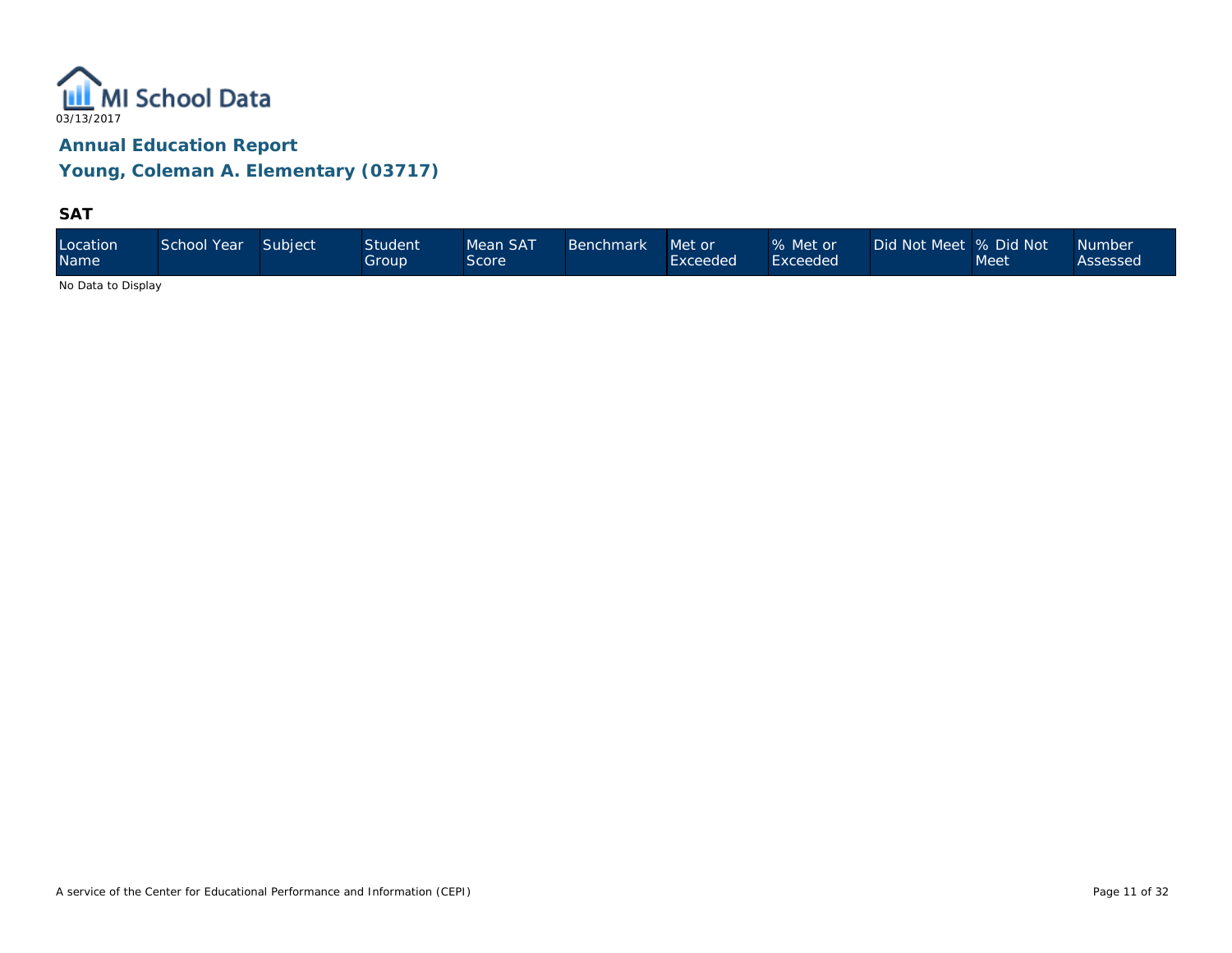

**Young, Coleman A. Elementary (03717)**

**SAT**

| Location<br>Name | School Year | Subject | Student <sup>1</sup><br>Group | Mean SAT<br>Score | <b>Benchmark</b> | Met or<br>Exceeded | % Met or<br>Exceeded | Did Not Meet  % Did Not | Meet | <b>Number</b><br>Assessed |
|------------------|-------------|---------|-------------------------------|-------------------|------------------|--------------------|----------------------|-------------------------|------|---------------------------|
|------------------|-------------|---------|-------------------------------|-------------------|------------------|--------------------|----------------------|-------------------------|------|---------------------------|

No Data to Display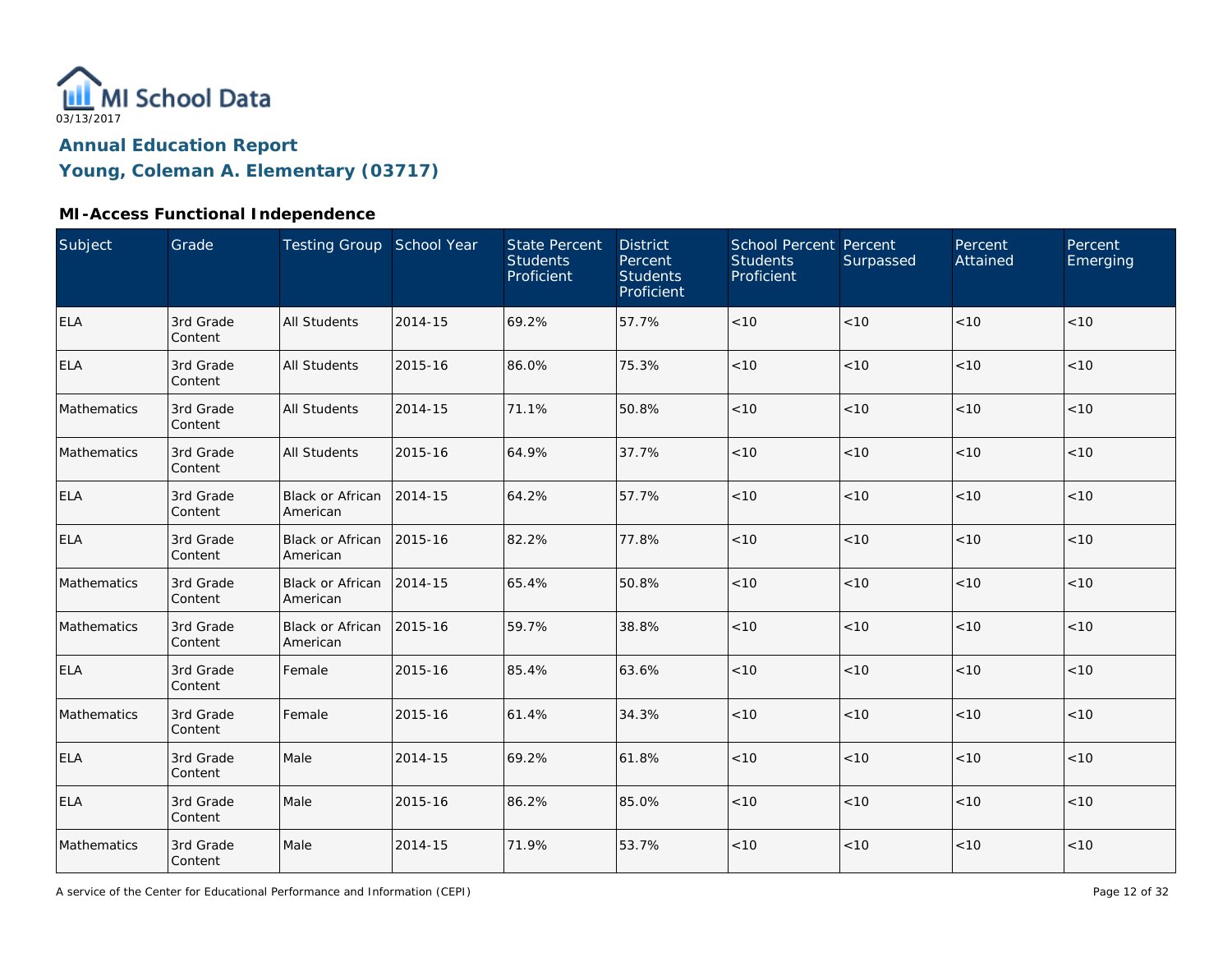

### **Young, Coleman A. Elementary (03717)**

#### **MI-Access Functional Independence**

| Subject     | Grade                | Testing Group School Year    |         | <b>State Percent</b><br><b>Students</b><br>Proficient | <b>District</b><br>Percent<br><b>Students</b><br>Proficient | <b>School Percent Percent</b><br><b>Students</b><br>Proficient | Surpassed | Percent<br>Attained | Percent<br>Emerging |
|-------------|----------------------|------------------------------|---------|-------------------------------------------------------|-------------------------------------------------------------|----------------------------------------------------------------|-----------|---------------------|---------------------|
| <b>ELA</b>  | 3rd Grade<br>Content | <b>All Students</b>          | 2014-15 | 69.2%                                                 | 57.7%                                                       | $<10$                                                          | < 10      | < 10                | < 10                |
| <b>ELA</b>  | 3rd Grade<br>Content | <b>All Students</b>          | 2015-16 | 86.0%                                                 | 75.3%                                                       | < 10                                                           | < 10      | < 10                | < 10                |
| Mathematics | 3rd Grade<br>Content | <b>All Students</b>          | 2014-15 | 71.1%                                                 | 50.8%                                                       | $<10$                                                          | < 10      | < 10                | < 10                |
| Mathematics | 3rd Grade<br>Content | <b>All Students</b>          | 2015-16 | 64.9%                                                 | 37.7%                                                       | $<10$                                                          | < 10      | < 10                | < 10                |
| <b>ELA</b>  | 3rd Grade<br>Content | Black or African<br>American | 2014-15 | 64.2%                                                 | 57.7%                                                       | $<10$                                                          | $<10$     | < 10                | < 10                |
| <b>ELA</b>  | 3rd Grade<br>Content | Black or African<br>American | 2015-16 | 82.2%                                                 | 77.8%                                                       | < 10                                                           | $<10$     | < 10                | < 10                |
| Mathematics | 3rd Grade<br>Content | Black or African<br>American | 2014-15 | 65.4%                                                 | 50.8%                                                       | < 10                                                           | < 10      | < 10                | < 10                |
| Mathematics | 3rd Grade<br>Content | Black or African<br>American | 2015-16 | 59.7%                                                 | 38.8%                                                       | < 10                                                           | < 10      | < 10                | < 10                |
| <b>ELA</b>  | 3rd Grade<br>Content | Female                       | 2015-16 | 85.4%                                                 | 63.6%                                                       | $<10$                                                          | < 10      | < 10                | < 10                |
| Mathematics | 3rd Grade<br>Content | Female                       | 2015-16 | 61.4%                                                 | 34.3%                                                       | $<10$                                                          | < 10      | < 10                | < 10                |
| <b>ELA</b>  | 3rd Grade<br>Content | Male                         | 2014-15 | 69.2%                                                 | 61.8%                                                       | < 10                                                           | < 10      | < 10                | < 10                |
| <b>ELA</b>  | 3rd Grade<br>Content | Male                         | 2015-16 | 86.2%                                                 | 85.0%                                                       | $<10$                                                          | < 10      | < 10                | < 10                |
| Mathematics | 3rd Grade<br>Content | Male                         | 2014-15 | 71.9%                                                 | 53.7%                                                       | $<10$                                                          | $<10$     | < 10                | < 10                |

A service of the Center for Educational Performance and Information (CEPI)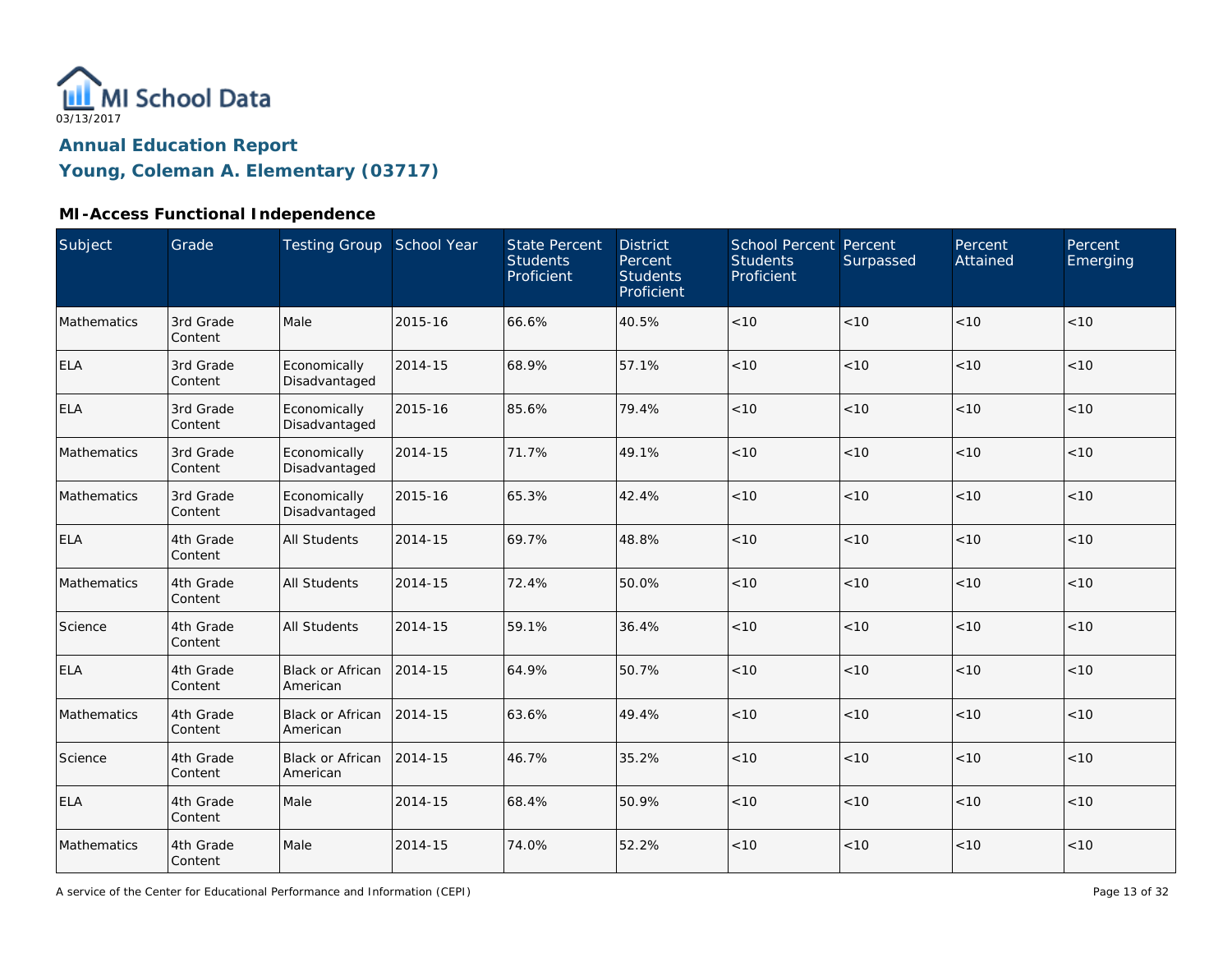

### **Young, Coleman A. Elementary (03717)**

#### **MI-Access Functional Independence**

| Subject     | Grade                | Testing Group School Year     |         | <b>State Percent</b><br><b>Students</b><br>Proficient | <b>District</b><br>Percent<br><b>Students</b><br>Proficient | School Percent Percent<br><b>Students</b><br>Proficient | Surpassed | Percent<br>Attained | Percent<br>Emerging |
|-------------|----------------------|-------------------------------|---------|-------------------------------------------------------|-------------------------------------------------------------|---------------------------------------------------------|-----------|---------------------|---------------------|
| Mathematics | 3rd Grade<br>Content | Male                          | 2015-16 | 66.6%                                                 | 40.5%                                                       | < 10                                                    | < 10      | < 10                | < 10                |
| <b>ELA</b>  | 3rd Grade<br>Content | Economically<br>Disadvantaged | 2014-15 | 68.9%                                                 | 57.1%                                                       | < 10                                                    | < 10      | < 10                | < 10                |
| <b>ELA</b>  | 3rd Grade<br>Content | Economically<br>Disadvantaged | 2015-16 | 85.6%                                                 | 79.4%                                                       | $<10$                                                   | < 10      | < 10                | < 10                |
| Mathematics | 3rd Grade<br>Content | Economically<br>Disadvantaged | 2014-15 | 71.7%                                                 | 49.1%                                                       | < 10                                                    | < 10      | <10                 | < 10                |
| Mathematics | 3rd Grade<br>Content | Economically<br>Disadvantaged | 2015-16 | 65.3%                                                 | 42.4%                                                       | < 10                                                    | < 10      | < 10                | < 10                |
| <b>ELA</b>  | 4th Grade<br>Content | <b>All Students</b>           | 2014-15 | 69.7%                                                 | 48.8%                                                       | < 10                                                    | < 10      | < 10                | < 10                |
| Mathematics | 4th Grade<br>Content | <b>All Students</b>           | 2014-15 | 72.4%                                                 | 50.0%                                                       | < 10                                                    | < 10      | <10                 | < 10                |
| Science     | 4th Grade<br>Content | <b>All Students</b>           | 2014-15 | 59.1%                                                 | 36.4%                                                       | < 10                                                    | < 10      | < 10                | < 10                |
| <b>ELA</b>  | 4th Grade<br>Content | Black or African<br>American  | 2014-15 | 64.9%                                                 | 50.7%                                                       | < 10                                                    | < 10      | < 10                | < 10                |
| Mathematics | 4th Grade<br>Content | Black or African<br>American  | 2014-15 | 63.6%                                                 | 49.4%                                                       | $<10$                                                   | < 10      | < 10                | < 10                |
| Science     | 4th Grade<br>Content | Black or African<br>American  | 2014-15 | 46.7%                                                 | 35.2%                                                       | < 10                                                    | < 10      | < 10                | < 10                |
| <b>ELA</b>  | 4th Grade<br>Content | Male                          | 2014-15 | 68.4%                                                 | 50.9%                                                       | < 10                                                    | < 10      | < 10                | < 10                |
| Mathematics | 4th Grade<br>Content | Male                          | 2014-15 | 74.0%                                                 | 52.2%                                                       | < 10                                                    | $<10$     | < 10                | < 10                |

A service of the Center for Educational Performance and Information (CEPI)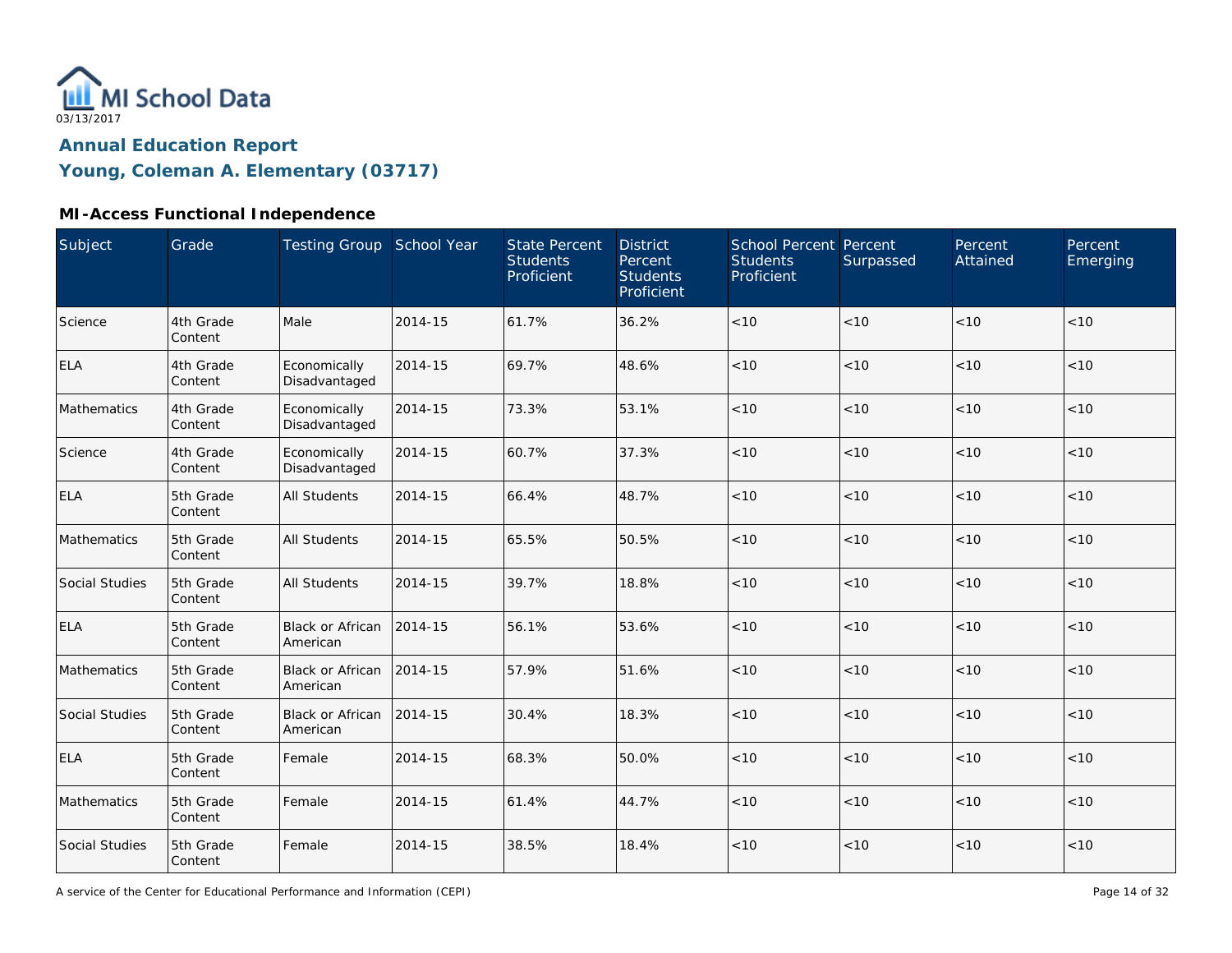

### **Young, Coleman A. Elementary (03717)**

#### **MI-Access Functional Independence**

| Subject        | Grade                | Testing Group School Year           |         | <b>State Percent</b><br><b>Students</b><br>Proficient | <b>District</b><br>Percent<br><b>Students</b><br>Proficient | School Percent Percent<br><b>Students</b><br>Proficient | Surpassed | Percent<br>Attained | Percent<br>Emerging |
|----------------|----------------------|-------------------------------------|---------|-------------------------------------------------------|-------------------------------------------------------------|---------------------------------------------------------|-----------|---------------------|---------------------|
| Science        | 4th Grade<br>Content | Male                                | 2014-15 | 61.7%                                                 | 36.2%                                                       | < 10                                                    | < 10      | < 10                | < 10                |
| <b>ELA</b>     | 4th Grade<br>Content | Economically<br>Disadvantaged       | 2014-15 | 69.7%                                                 | 48.6%                                                       | < 10                                                    | < 10      | < 10                | < 10                |
| Mathematics    | 4th Grade<br>Content | Economically<br>Disadvantaged       | 2014-15 | 73.3%                                                 | 53.1%                                                       | < 10                                                    | < 10      | < 10                | < 10                |
| Science        | 4th Grade<br>Content | Economically<br>Disadvantaged       | 2014-15 | 60.7%                                                 | 37.3%                                                       | < 10                                                    | < 10      | < 10                | < 10                |
| <b>ELA</b>     | 5th Grade<br>Content | All Students                        | 2014-15 | 66.4%                                                 | 48.7%                                                       | $<10$                                                   | < 10      | < 10                | < 10                |
| Mathematics    | 5th Grade<br>Content | <b>All Students</b>                 | 2014-15 | 65.5%                                                 | 50.5%                                                       | < 10                                                    | < 10      | < 10                | < 10                |
| Social Studies | 5th Grade<br>Content | <b>All Students</b>                 | 2014-15 | 39.7%                                                 | 18.8%                                                       | < 10                                                    | < 10      | < 10                | < 10                |
| <b>ELA</b>     | 5th Grade<br>Content | <b>Black or African</b><br>American | 2014-15 | 56.1%                                                 | 53.6%                                                       | < 10                                                    | < 10      | < 10                | < 10                |
| Mathematics    | 5th Grade<br>Content | <b>Black or African</b><br>American | 2014-15 | 57.9%                                                 | 51.6%                                                       | < 10                                                    | < 10      | < 10                | < 10                |
| Social Studies | 5th Grade<br>Content | Black or African<br>American        | 2014-15 | 30.4%                                                 | 18.3%                                                       | < 10                                                    | < 10      | < 10                | < 10                |
| <b>ELA</b>     | 5th Grade<br>Content | Female                              | 2014-15 | 68.3%                                                 | 50.0%                                                       | $<10$                                                   | $<10$     | <10                 | < 10                |
| Mathematics    | 5th Grade<br>Content | Female                              | 2014-15 | 61.4%                                                 | 44.7%                                                       | $<10$                                                   | < 10      | < 10                | < 10                |
| Social Studies | 5th Grade<br>Content | Female                              | 2014-15 | 38.5%                                                 | 18.4%                                                       | < 10                                                    | < 10      | < 10                | < 10                |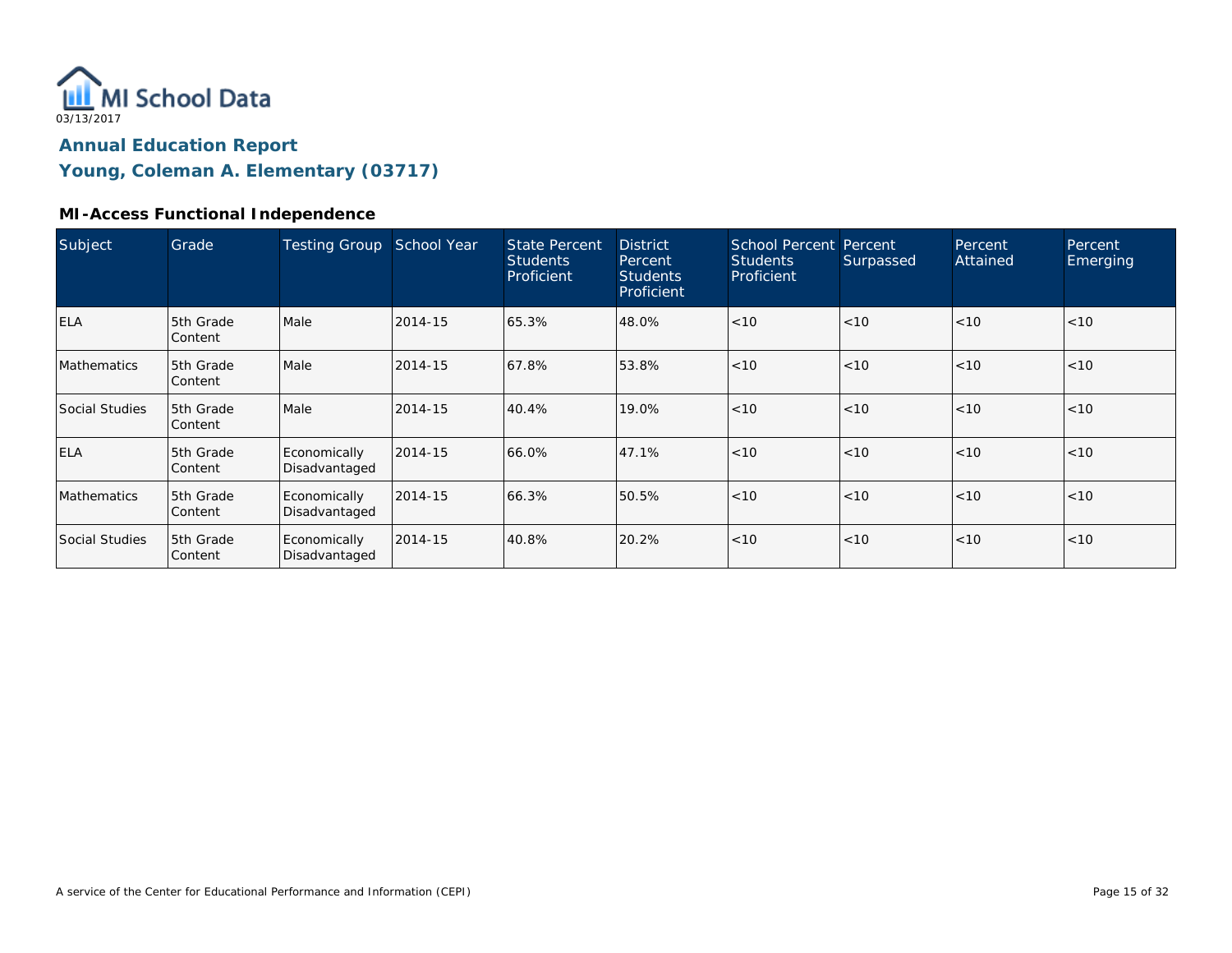

### **Young, Coleman A. Elementary (03717)**

#### **MI-Access Functional Independence**

| Subject            | Grade                       | <b>Testing Group</b>          | School Year | <b>State Percent</b><br><b>Students</b><br>Proficient | <b>District</b><br>Percent<br><b>Students</b><br>Proficient | <b>School Percent Percent</b><br><b>Students</b><br>Proficient | Surpassed | Percent<br>Attained | Percent<br>Emerging |
|--------------------|-----------------------------|-------------------------------|-------------|-------------------------------------------------------|-------------------------------------------------------------|----------------------------------------------------------------|-----------|---------------------|---------------------|
| <b>ELA</b>         | 5th Grade<br>Content        | Male                          | 2014-15     | 65.3%                                                 | 48.0%                                                       | < 10                                                           | < 10      | < 10                | < 10                |
| <b>Mathematics</b> | <b>5th Grade</b><br>Content | Male                          | 2014-15     | 67.8%                                                 | 53.8%                                                       | < 10                                                           | < 10      | < 10                | < 10                |
| Social Studies     | 5th Grade<br>Content        | Male                          | 2014-15     | 40.4%                                                 | 19.0%                                                       | < 10                                                           | < 10      | < 10                | < 10                |
| <b>ELA</b>         | 5th Grade<br>Content        | Economically<br>Disadvantaged | 2014-15     | 66.0%                                                 | 47.1%                                                       | < 10                                                           | < 10      | < 10                | < 10                |
| <b>Mathematics</b> | 5th Grade<br>Content        | Economically<br>Disadvantaged | 2014-15     | 66.3%                                                 | 50.5%                                                       | < 10                                                           | < 10      | < 10                | < 10                |
| Social Studies     | 5th Grade<br>Content        | Economically<br>Disadvantaged | 2014-15     | 40.8%                                                 | 20.2%                                                       | < 10                                                           | < 10      | < 10                | < 10                |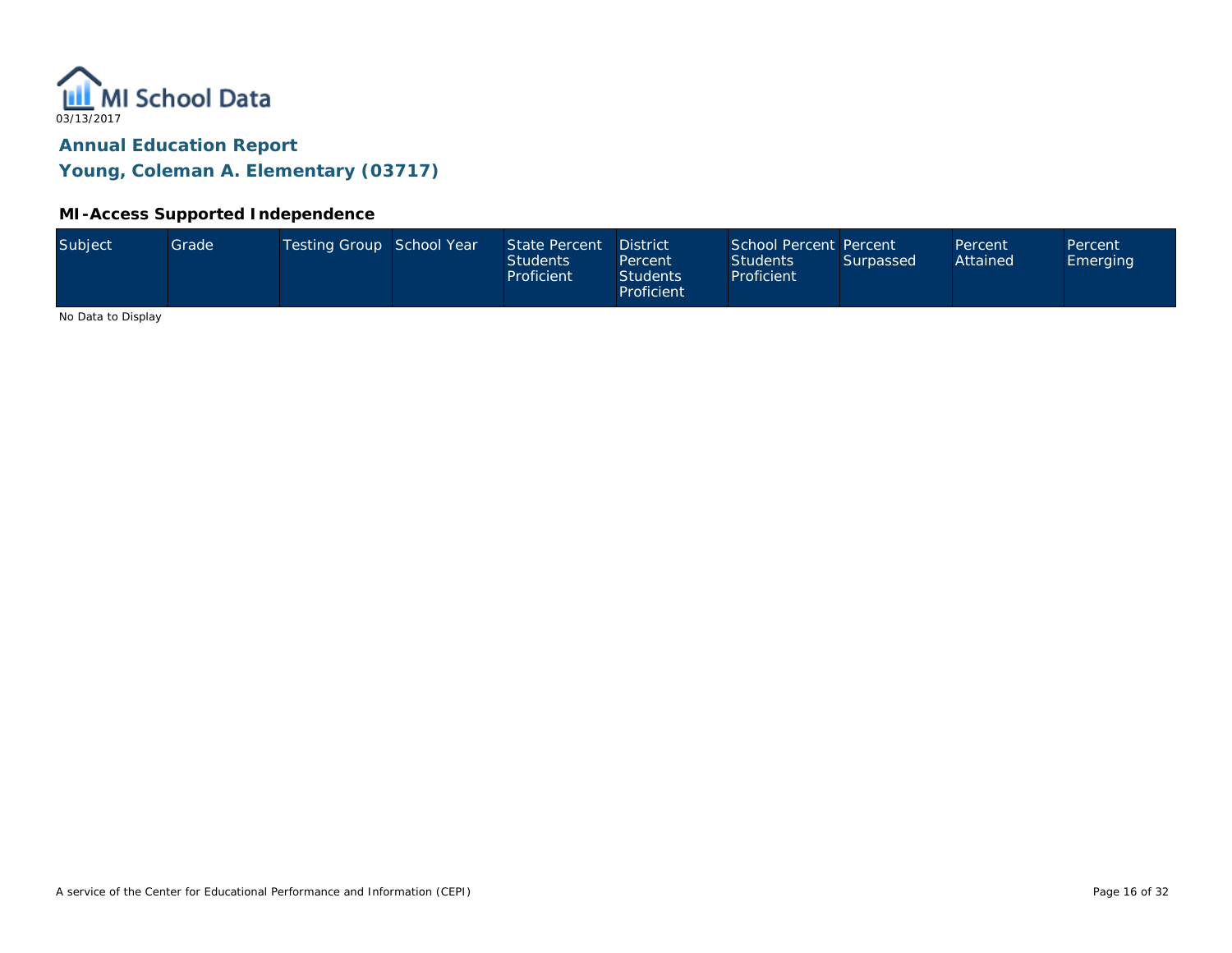

#### **MI-Access Supported Independence**

|  | Subject | Grade <sup>1</sup> | Testing Group School Year |  | State Percent<br>Students<br>Proficient | <b>District</b><br>Percent<br><b>Students</b><br>Proficient | School Percent Percent<br><b>Students</b><br>Proficient | Surpassed | Percent<br>Attained | Percent<br>Emerging |
|--|---------|--------------------|---------------------------|--|-----------------------------------------|-------------------------------------------------------------|---------------------------------------------------------|-----------|---------------------|---------------------|
|--|---------|--------------------|---------------------------|--|-----------------------------------------|-------------------------------------------------------------|---------------------------------------------------------|-----------|---------------------|---------------------|

No Data to Display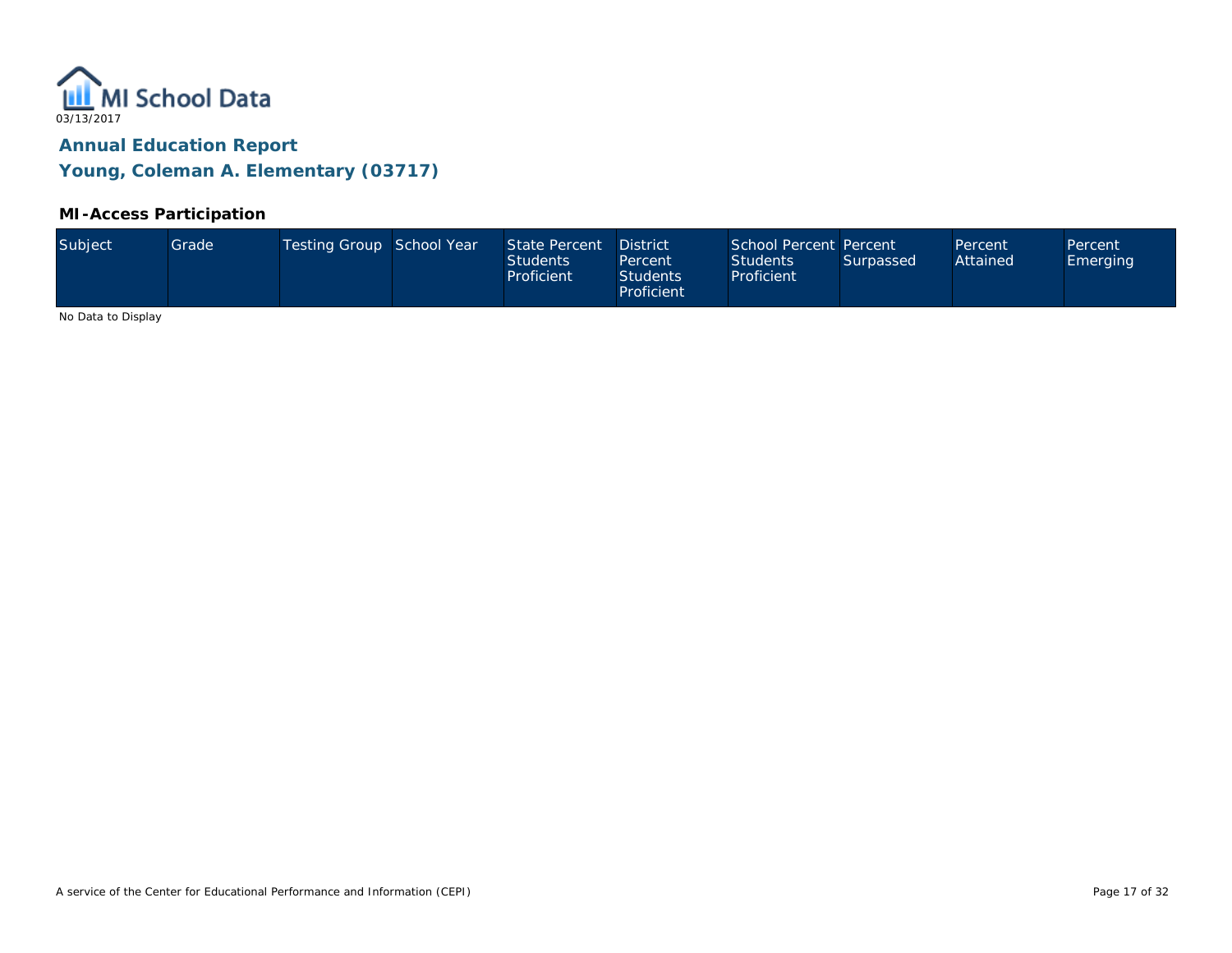

#### **MI-Access Participation**

| Subject<br>Testing Group School Year<br>State Percent<br>Grade <sup>1</sup><br>Attained<br><b>Students</b><br><b>Students</b><br>Surpassed<br><b>Emerging</b><br>Percent<br>Proficient<br>Proficient<br><b>Students</b><br>Proficient | School Percent Percent<br><b>District</b><br>Percent<br>Percent |
|---------------------------------------------------------------------------------------------------------------------------------------------------------------------------------------------------------------------------------------|-----------------------------------------------------------------|
|---------------------------------------------------------------------------------------------------------------------------------------------------------------------------------------------------------------------------------------|-----------------------------------------------------------------|

No Data to Display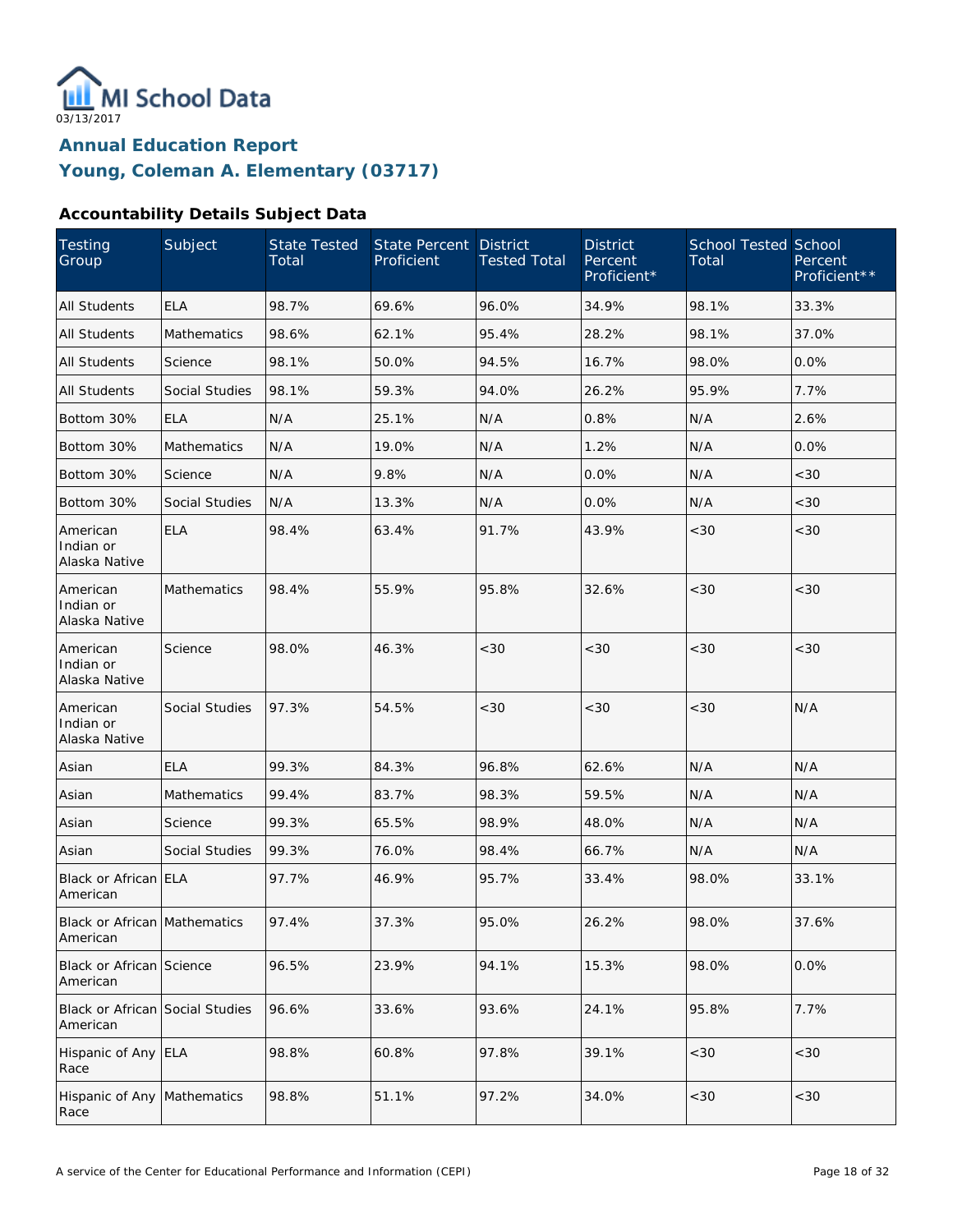

#### **Accountability Details Subject Data**

| Testing<br>Group                            | Subject            | <b>State Tested</b><br>Total | <b>State Percent</b><br>Proficient | <b>District</b><br><b>Tested Total</b> | <b>District</b><br>Percent<br>Proficient* | School Tested School<br>Total | Percent<br>Proficient** |
|---------------------------------------------|--------------------|------------------------------|------------------------------------|----------------------------------------|-------------------------------------------|-------------------------------|-------------------------|
| <b>All Students</b>                         | <b>ELA</b>         | 98.7%                        | 69.6%                              | 96.0%                                  | 34.9%                                     | 98.1%                         | 33.3%                   |
| <b>All Students</b>                         | <b>Mathematics</b> | 98.6%                        | 62.1%                              | 95.4%                                  | 28.2%                                     | 98.1%                         | 37.0%                   |
| <b>All Students</b>                         | Science            | 98.1%                        | 50.0%                              | 94.5%                                  | 16.7%                                     | 98.0%                         | 0.0%                    |
| <b>All Students</b>                         | Social Studies     | 98.1%                        | 59.3%                              | 94.0%                                  | 26.2%                                     | 95.9%                         | 7.7%                    |
| Bottom 30%                                  | <b>ELA</b>         | N/A                          | 25.1%                              | N/A                                    | 0.8%                                      | N/A                           | 2.6%                    |
| Bottom 30%                                  | <b>Mathematics</b> | N/A                          | 19.0%                              | N/A                                    | 1.2%                                      | N/A                           | 0.0%                    |
| Bottom 30%                                  | Science            | N/A                          | 9.8%                               | N/A                                    | 0.0%                                      | N/A                           | <30                     |
| Bottom 30%                                  | Social Studies     | N/A                          | 13.3%                              | N/A                                    | 0.0%                                      | N/A                           | <30                     |
| American<br>Indian or<br>Alaska Native      | <b>ELA</b>         | 98.4%                        | 63.4%                              | 91.7%                                  | 43.9%                                     | < 30                          | <30                     |
| American<br>Indian or<br>Alaska Native      | <b>Mathematics</b> | 98.4%                        | 55.9%                              | 95.8%                                  | 32.6%                                     | < 30                          | <30                     |
| American<br>Indian or<br>Alaska Native      | Science            | 98.0%                        | 46.3%                              | <30                                    | < 30                                      | < 30                          | <30                     |
| American<br>Indian or<br>Alaska Native      | Social Studies     | 97.3%                        | 54.5%                              | <30                                    | <30                                       | < 30                          | N/A                     |
| Asian                                       | <b>ELA</b>         | 99.3%                        | 84.3%                              | 96.8%                                  | 62.6%                                     | N/A                           | N/A                     |
| Asian                                       | <b>Mathematics</b> | 99.4%                        | 83.7%                              | 98.3%                                  | 59.5%                                     | N/A                           | N/A                     |
| Asian                                       | Science            | 99.3%                        | 65.5%                              | 98.9%                                  | 48.0%                                     | N/A                           | N/A                     |
| Asian                                       | Social Studies     | 99.3%                        | 76.0%                              | 98.4%                                  | 66.7%                                     | N/A                           | N/A                     |
| Black or African ELA<br>American            |                    | 97.7%                        | 46.9%                              | 95.7%                                  | 33.4%                                     | 98.0%                         | 33.1%                   |
| Black or African Mathematics<br>American    |                    | 97.4%                        | 37.3%                              | 95.0%                                  | 26.2%                                     | 98.0%                         | 37.6%                   |
| Black or African Science<br>American        |                    | 96.5%                        | 23.9%                              | 94.1%                                  | 15.3%                                     | 98.0%                         | 0.0%                    |
| Black or African Social Studies<br>American |                    | 96.6%                        | 33.6%                              | 93.6%                                  | 24.1%                                     | 95.8%                         | 7.7%                    |
| Hispanic of Any<br>Race                     | <b>ELA</b>         | 98.8%                        | 60.8%                              | 97.8%                                  | 39.1%                                     | <30                           | <30                     |
| Hispanic of Any<br>Race                     | Mathematics        | 98.8%                        | 51.1%                              | 97.2%                                  | 34.0%                                     | <30                           | $<30$                   |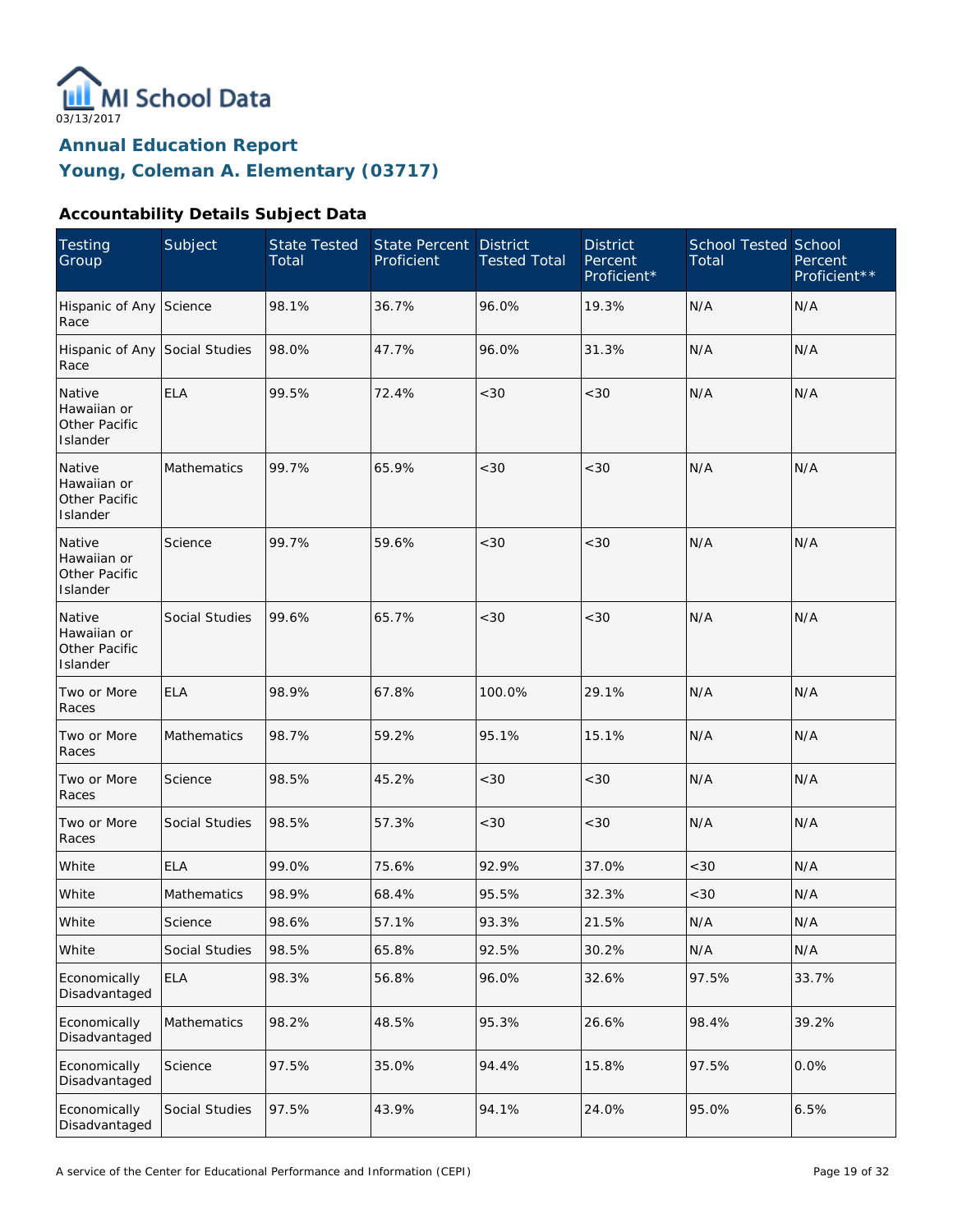

#### **Accountability Details Subject Data**

| <b>Testing</b><br>Group                                   | Subject               | <b>State Tested</b><br>Total | <b>State Percent</b><br>Proficient | <b>District</b><br><b>Tested Total</b> | <b>District</b><br>Percent<br>Proficient* | <b>School Tested School</b><br>Total | Percent<br>Proficient** |
|-----------------------------------------------------------|-----------------------|------------------------------|------------------------------------|----------------------------------------|-------------------------------------------|--------------------------------------|-------------------------|
| Hispanic of Any<br>Race                                   | Science               | 98.1%                        | 36.7%                              | 96.0%                                  | 19.3%                                     | N/A                                  | N/A                     |
| Hispanic of Any<br>Race                                   | Social Studies        | 98.0%                        | 47.7%                              | 96.0%                                  | 31.3%                                     | N/A                                  | N/A                     |
| Native<br>Hawaiian or<br>Other Pacific<br>Islander        | <b>ELA</b>            | 99.5%                        | 72.4%                              | <30                                    | <30                                       | N/A                                  | N/A                     |
| Native<br>Hawaiian or<br>Other Pacific<br>Islander        | Mathematics           | 99.7%                        | 65.9%                              | <30                                    | <30                                       | N/A                                  | N/A                     |
| Native<br>Hawaiian or<br><b>Other Pacific</b><br>Islander | Science               | 99.7%                        | 59.6%                              | <30                                    | <30                                       | N/A                                  | N/A                     |
| Native<br>Hawaiian or<br>Other Pacific<br>Islander        | <b>Social Studies</b> | 99.6%                        | 65.7%                              | <30                                    | <30                                       | N/A                                  | N/A                     |
| Two or More<br>Races                                      | <b>ELA</b>            | 98.9%                        | 67.8%                              | 100.0%                                 | 29.1%                                     | N/A                                  | N/A                     |
| Two or More<br>Races                                      | Mathematics           | 98.7%                        | 59.2%                              | 95.1%                                  | 15.1%                                     | N/A                                  | N/A                     |
| Two or More<br>Races                                      | Science               | 98.5%                        | 45.2%                              | <30                                    | <30                                       | N/A                                  | N/A                     |
| Two or More<br>Races                                      | <b>Social Studies</b> | 98.5%                        | 57.3%                              | <30                                    | $<30$                                     | N/A                                  | N/A                     |
| White                                                     | <b>ELA</b>            | 99.0%                        | 75.6%                              | 92.9%                                  | 37.0%                                     | <30                                  | N/A                     |
| White                                                     | <b>Mathematics</b>    | 98.9%                        | 68.4%                              | 95.5%                                  | 32.3%                                     | <30                                  | N/A                     |
| White                                                     | Science               | 98.6%                        | 57.1%                              | 93.3%                                  | 21.5%                                     | N/A                                  | N/A                     |
| White                                                     | Social Studies        | 98.5%                        | 65.8%                              | 92.5%                                  | 30.2%                                     | N/A                                  | N/A                     |
| Economically<br>Disadvantaged                             | <b>ELA</b>            | 98.3%                        | 56.8%                              | 96.0%                                  | 32.6%                                     | 97.5%                                | 33.7%                   |
| Economically<br>Disadvantaged                             | Mathematics           | 98.2%                        | 48.5%                              | 95.3%                                  | 26.6%                                     | 98.4%                                | 39.2%                   |
| Economically<br>Disadvantaged                             | Science               | 97.5%                        | 35.0%                              | 94.4%                                  | 15.8%                                     | 97.5%                                | 0.0%                    |
| Economically<br>Disadvantaged                             | Social Studies        | 97.5%                        | 43.9%                              | 94.1%                                  | 24.0%                                     | 95.0%                                | 6.5%                    |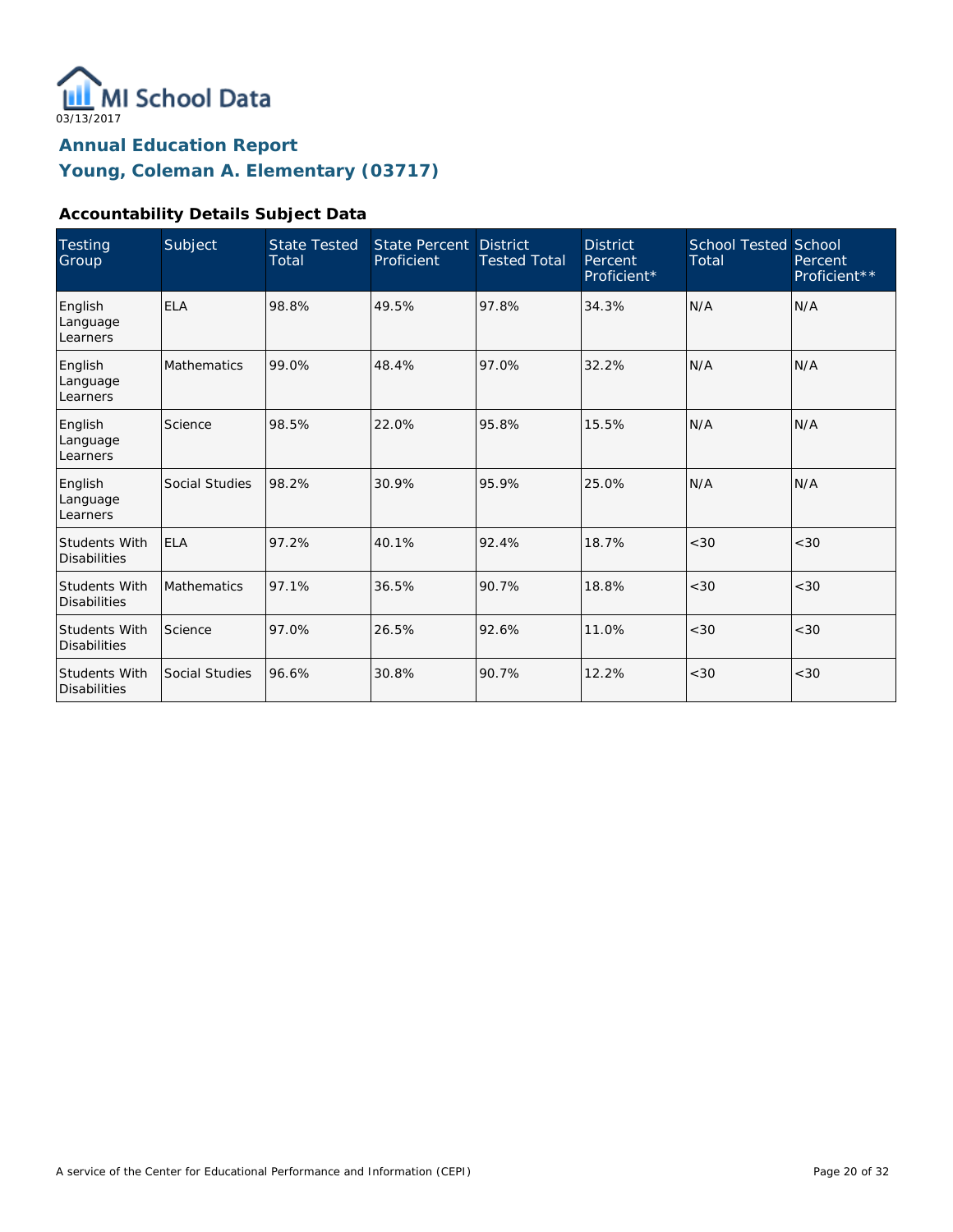

#### **Accountability Details Subject Data**

| <b>Testing</b><br>Group                     | Subject            | <b>State Tested</b><br>Total | State Percent<br>Proficient | <b>District</b><br><b>Tested Total</b> | <b>District</b><br>Percent<br>Proficient* | <b>School Tested School</b><br>Total | Percent<br>Proficient** |
|---------------------------------------------|--------------------|------------------------------|-----------------------------|----------------------------------------|-------------------------------------------|--------------------------------------|-------------------------|
| English<br>Language<br>Learners             | <b>ELA</b>         | 98.8%                        | 49.5%                       | 97.8%                                  | 34.3%                                     | N/A                                  | N/A                     |
| English<br>Language<br>Learners             | <b>Mathematics</b> | 99.0%                        | 48.4%                       | 97.0%                                  | 32.2%                                     | N/A                                  | N/A                     |
| English<br>Language<br>Learners             | Science            | 98.5%                        | 22.0%                       | 95.8%                                  | 15.5%                                     | N/A                                  | N/A                     |
| English<br>Language<br>Learners             | Social Studies     | 98.2%                        | 30.9%                       | 95.9%                                  | 25.0%                                     | N/A                                  | N/A                     |
| <b>Students With</b><br><b>Disabilities</b> | <b>ELA</b>         | 97.2%                        | 40.1%                       | 92.4%                                  | 18.7%                                     | < 30                                 | < 30                    |
| <b>Students With</b><br><b>Disabilities</b> | <b>Mathematics</b> | 97.1%                        | 36.5%                       | 90.7%                                  | 18.8%                                     | < 30                                 | <30                     |
| <b>Students With</b><br><b>Disabilities</b> | Science            | 97.0%                        | 26.5%                       | 92.6%                                  | 11.0%                                     | <30                                  | <30                     |
| <b>Students With</b><br><b>Disabilities</b> | Social Studies     | 96.6%                        | 30.8%                       | 90.7%                                  | 12.2%                                     | < 30                                 | < 30                    |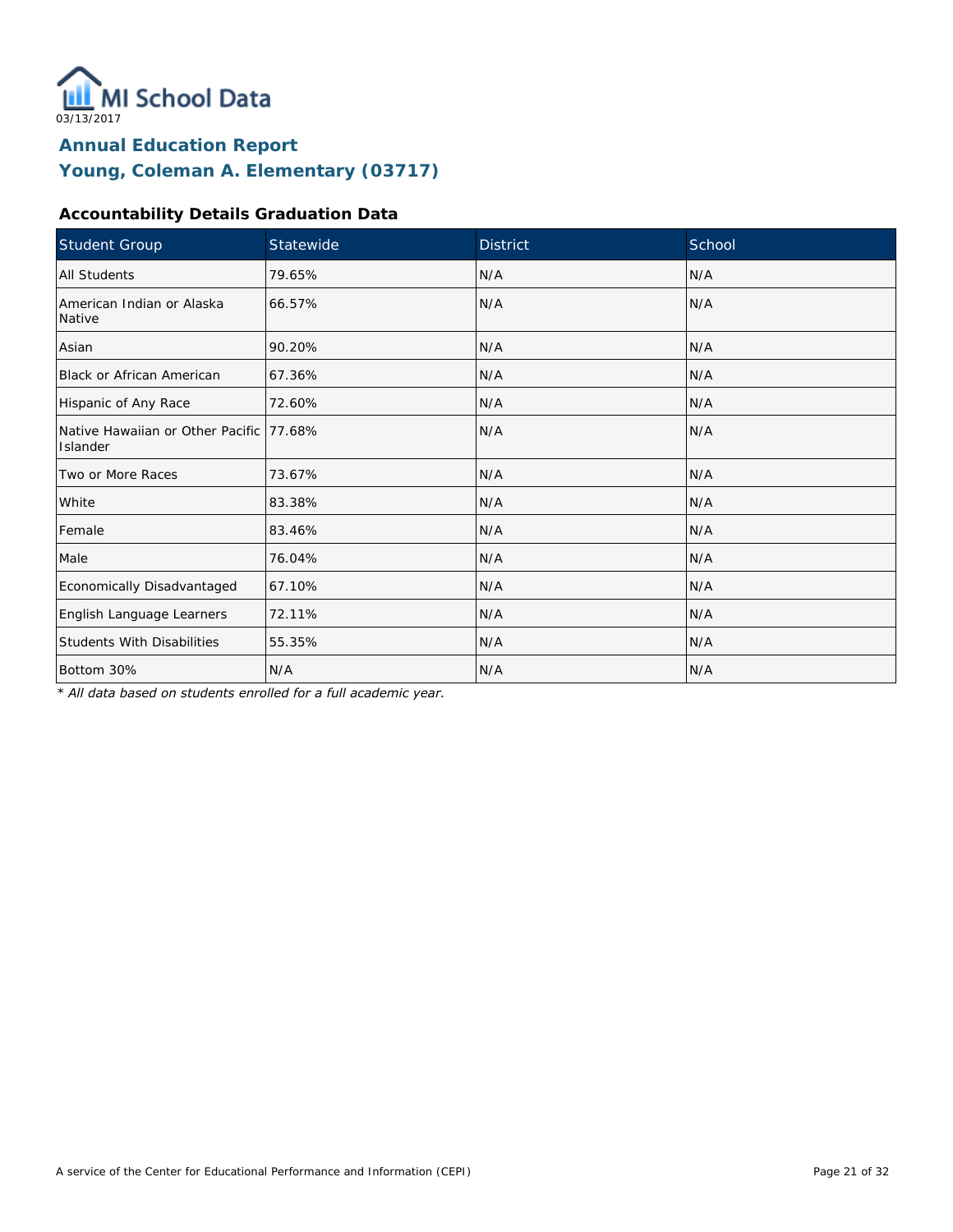

#### **Accountability Details Graduation Data**

| Student Group                                        | Statewide | <b>District</b> | School |
|------------------------------------------------------|-----------|-----------------|--------|
| <b>All Students</b>                                  | 79.65%    | N/A             | N/A    |
| American Indian or Alaska<br>Native                  | 66.57%    | N/A             | N/A    |
| Asian                                                | 90.20%    | N/A             | N/A    |
| Black or African American                            | 67.36%    | N/A             | N/A    |
| Hispanic of Any Race                                 | 72.60%    | N/A             | N/A    |
| Native Hawaiian or Other Pacific 177.68%<br>Islander |           | N/A             | N/A    |
| Two or More Races                                    | 73.67%    | N/A             | N/A    |
| White                                                | 83.38%    | N/A             | N/A    |
| Female                                               | 83.46%    | N/A             | N/A    |
| Male                                                 | 76.04%    | N/A             | N/A    |
| Economically Disadvantaged                           | 67.10%    | N/A             | N/A    |
| English Language Learners                            | 72.11%    | N/A             | N/A    |
| <b>Students With Disabilities</b>                    | 55.35%    | N/A             | N/A    |
| Bottom 30%                                           | N/A       | N/A             | N/A    |

*\* All data based on students enrolled for a full academic year.*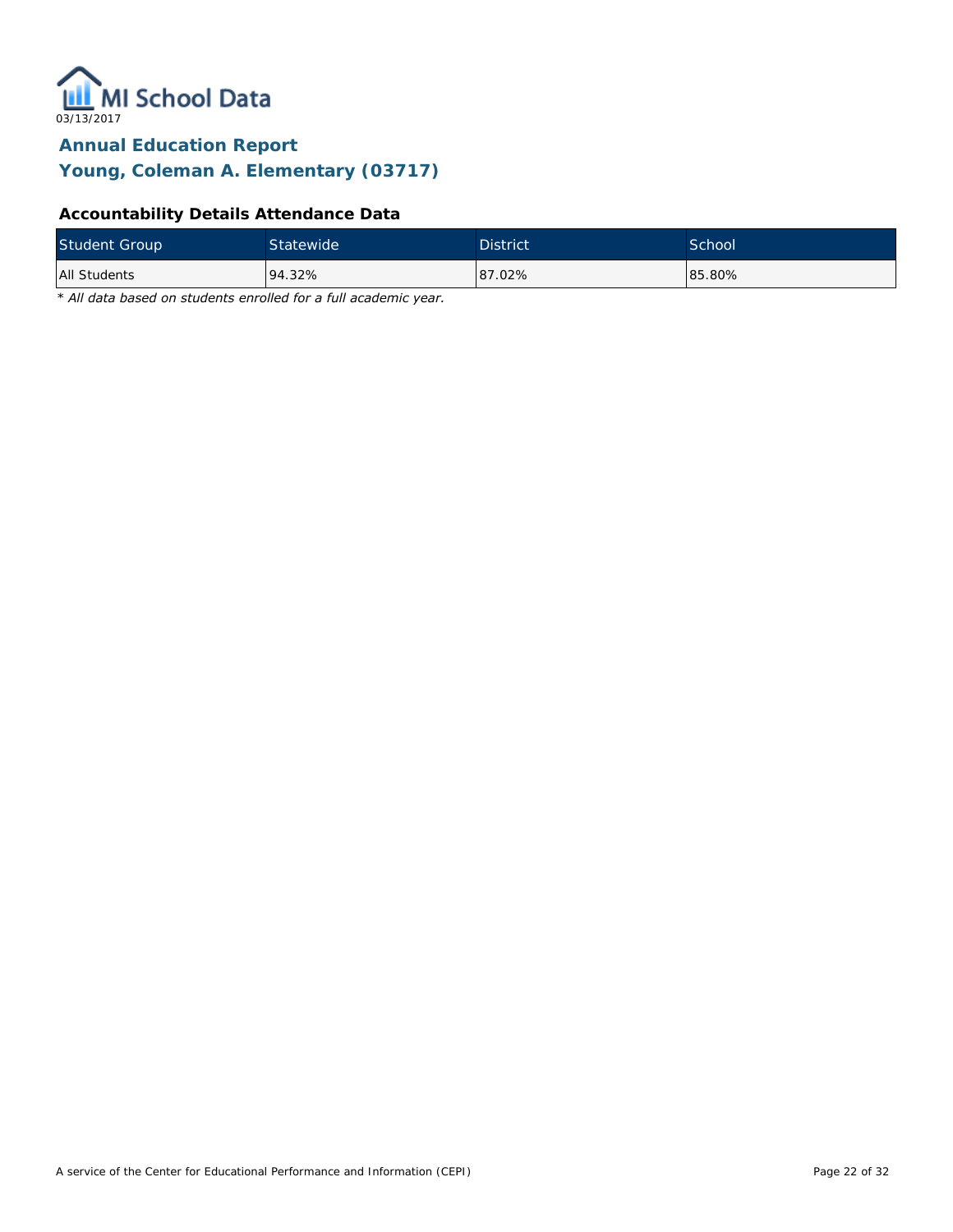

**Young, Coleman A. Elementary (03717)**

#### **Accountability Details Attendance Data**

| <b>Student Group</b> | Statewide | <b>District</b> | <b>School</b> |
|----------------------|-----------|-----------------|---------------|
| All Students         | 94.32%    | 87.02%          | 85.80%        |

*\* All data based on students enrolled for a full academic year.*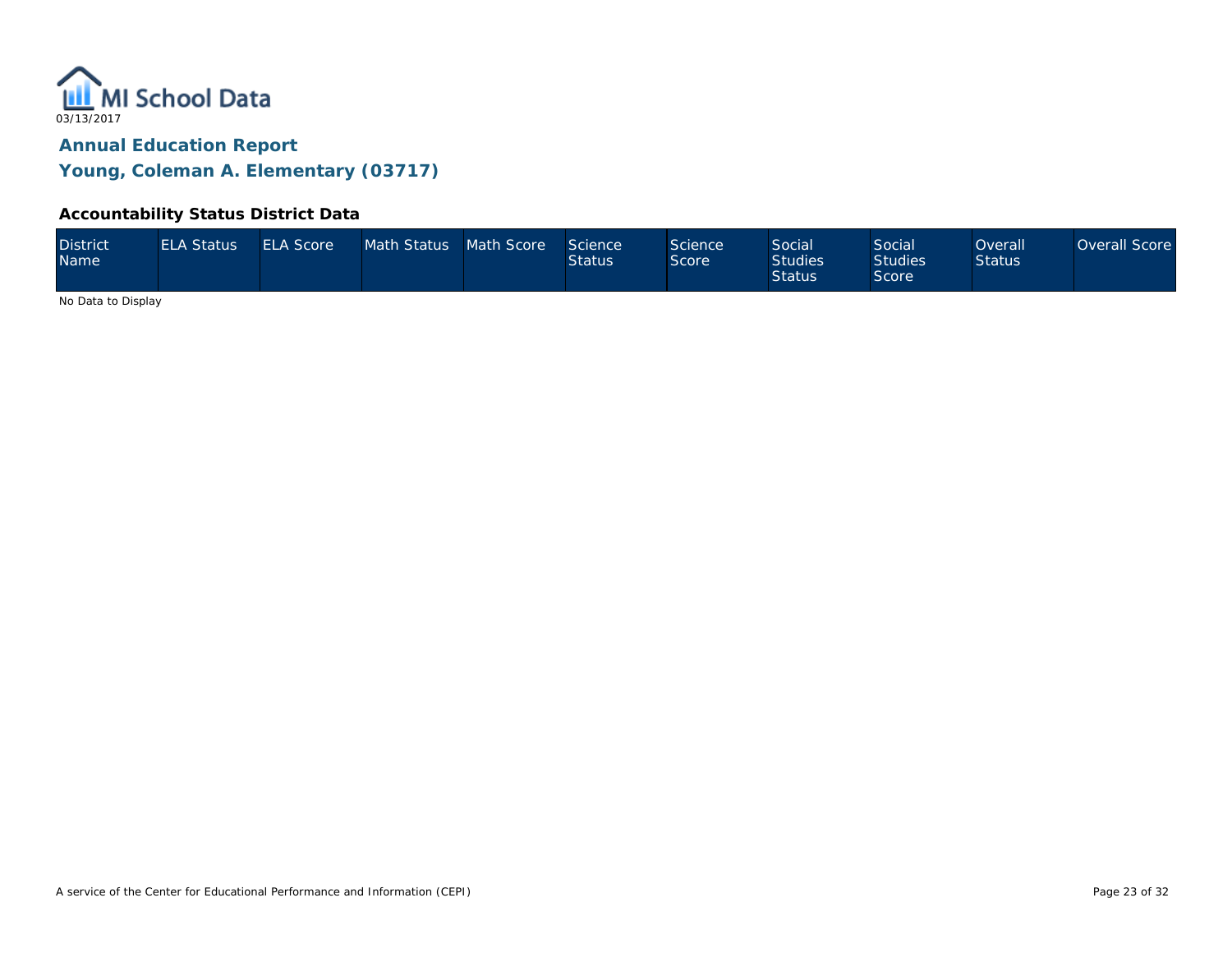

#### **Accountability Status District Data**

| <b>District</b><br><b>Name</b> | <b>ELA Status</b> | <b>ELA Score</b> | Math Status Math Score |  | Science<br><b>Status</b> | Science<br>Score | Social<br><b>Studies</b><br><b>Status</b> | <b>Social</b><br><b>Studies</b><br>Score <sup>®</sup> | Overall<br><b>Status</b> | Overall Score |
|--------------------------------|-------------------|------------------|------------------------|--|--------------------------|------------------|-------------------------------------------|-------------------------------------------------------|--------------------------|---------------|
|--------------------------------|-------------------|------------------|------------------------|--|--------------------------|------------------|-------------------------------------------|-------------------------------------------------------|--------------------------|---------------|

No Data to Display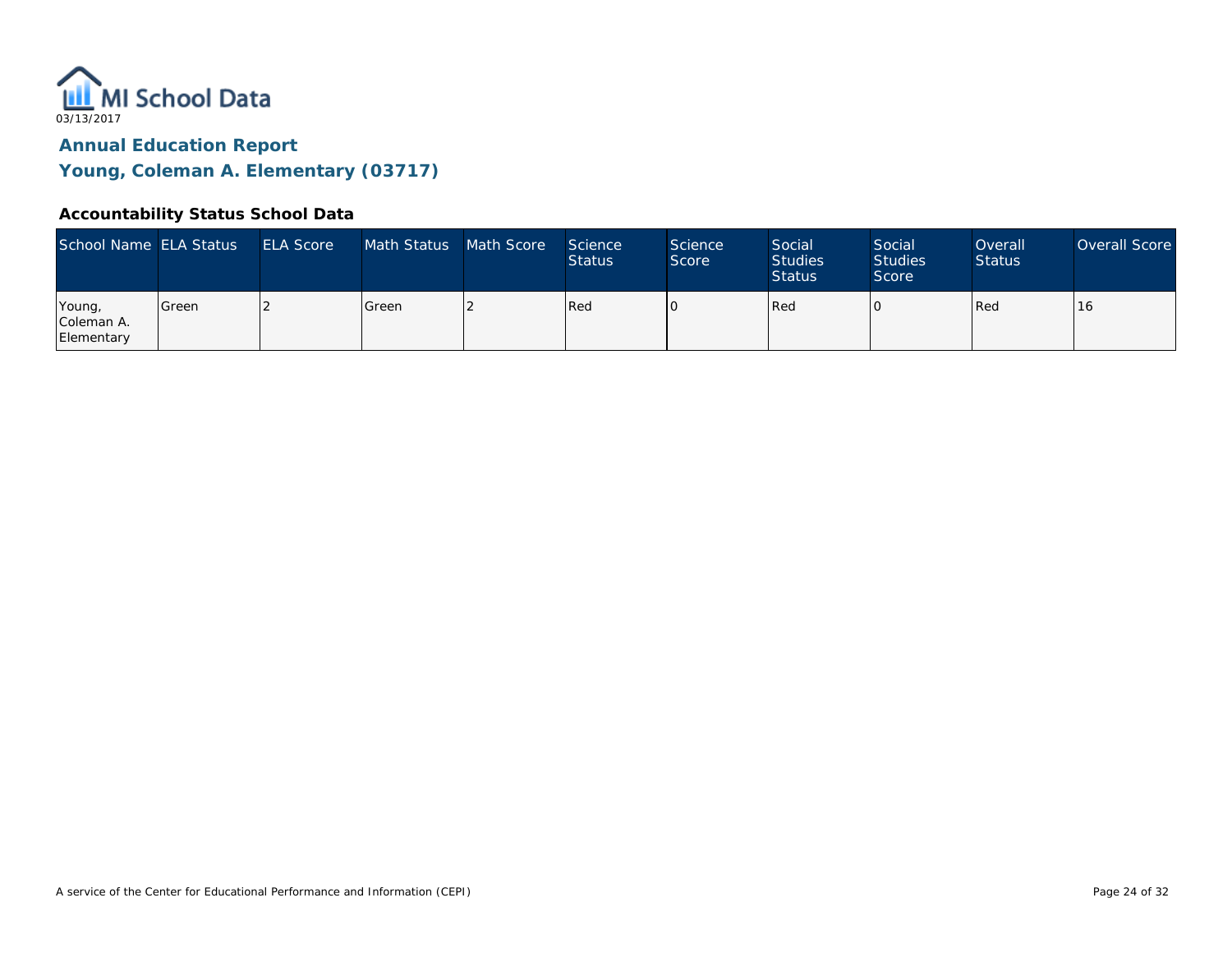

#### **Accountability Status School Data**

| School Name ELA Status             |               | <b>ELA Score</b> | Math Status | Math Score | Science<br><b>Status</b> | <b>Science</b><br>Score | Social<br><b>Studies</b><br><b>Status</b> | Social<br><b>Studies</b><br>Score | Overall<br><b>Status</b> | Overall Score |
|------------------------------------|---------------|------------------|-------------|------------|--------------------------|-------------------------|-------------------------------------------|-----------------------------------|--------------------------|---------------|
| Young,<br>Coleman A.<br>Elementary | <b>IGreen</b> |                  | l Green     |            | Red                      |                         | Red                                       |                                   | Red                      | 16            |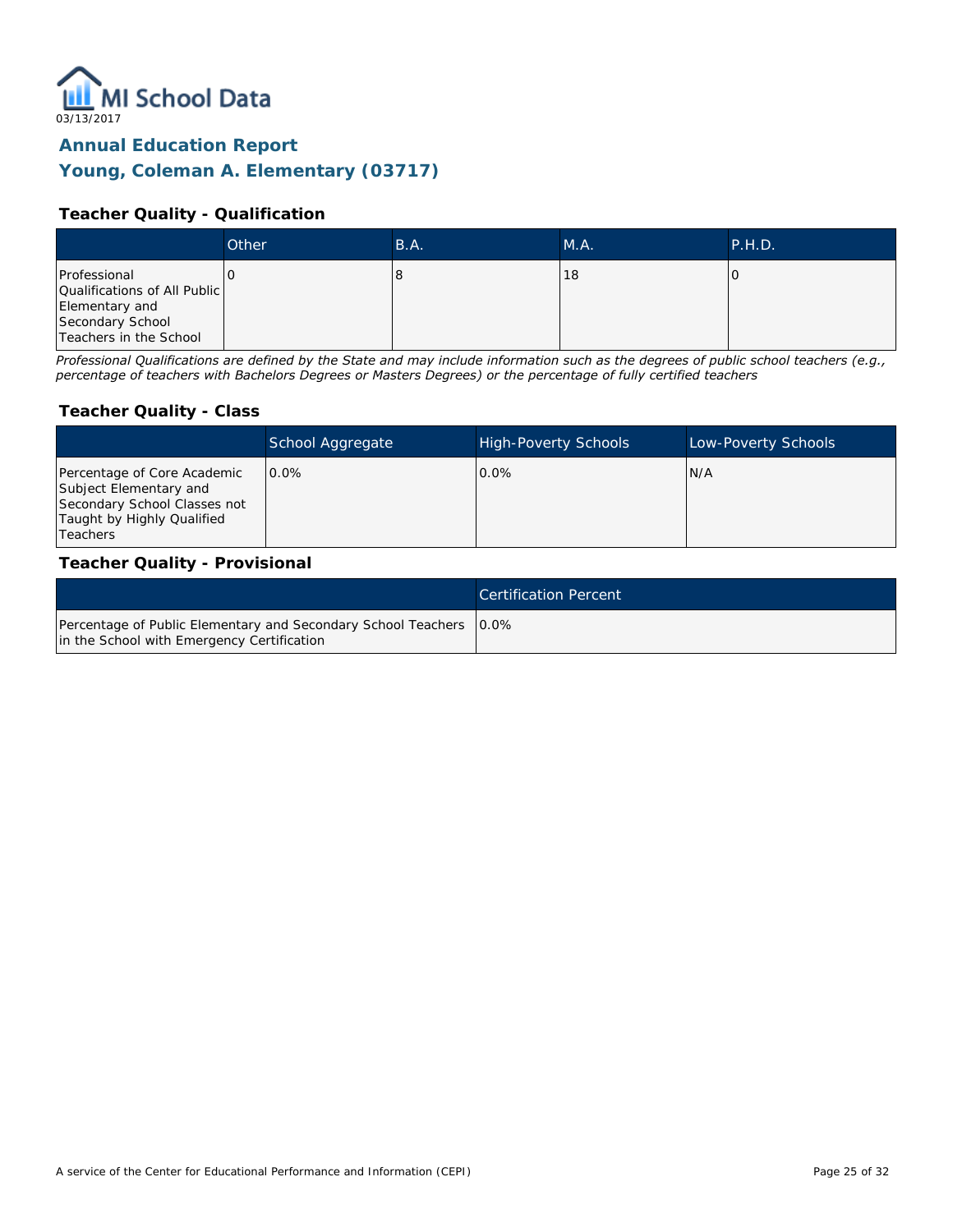

#### **Young, Coleman A. Elementary (03717)**

#### **Teacher Quality - Qualification**

|                              | <b>Other</b> | B.A. | M.A. | P.H.D. |
|------------------------------|--------------|------|------|--------|
| Professional                 |              |      | 18   |        |
| Qualifications of All Public |              |      |      |        |
| Elementary and               |              |      |      |        |
| Secondary School             |              |      |      |        |
| Teachers in the School       |              |      |      |        |

*Professional Qualifications are defined by the State and may include information such as the degrees of public school teachers (e.g., percentage of teachers with Bachelors Degrees or Masters Degrees) or the percentage of fully certified teachers*

#### **Teacher Quality - Class**

|                                                                                                                                        | School Aggregate | <b>High-Poverty Schools</b> | Low-Poverty Schools |
|----------------------------------------------------------------------------------------------------------------------------------------|------------------|-----------------------------|---------------------|
| Percentage of Core Academic<br>Subject Elementary and<br>Secondary School Classes not<br>Taught by Highly Qualified<br><b>Teachers</b> | $0.0\%$          | $0.0\%$                     | IN/A                |

#### **Teacher Quality - Provisional**

|                                                                                                                    | Certification Percent |
|--------------------------------------------------------------------------------------------------------------------|-----------------------|
| Percentage of Public Elementary and Secondary School Teachers   0.0%<br>in the School with Emergency Certification |                       |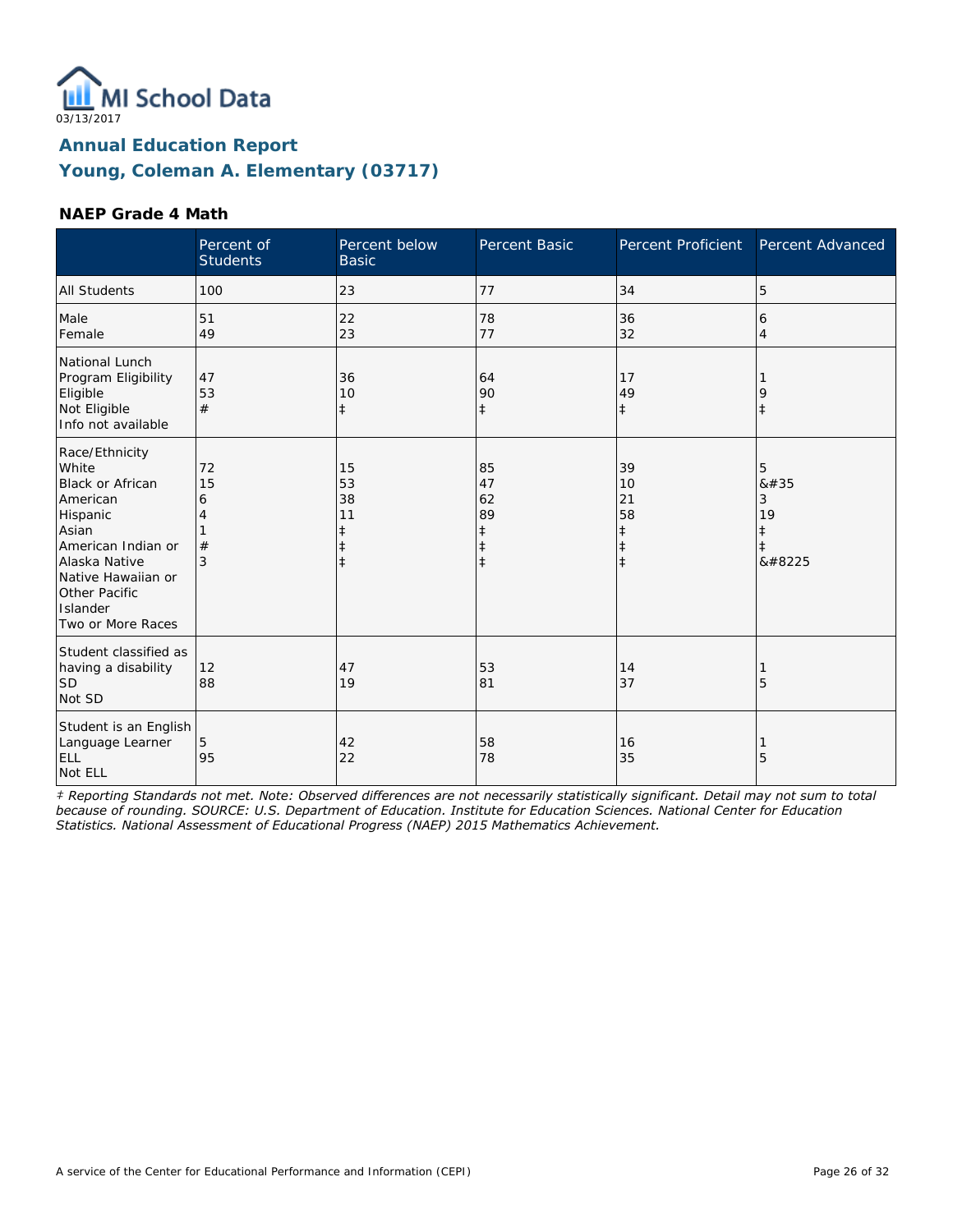

#### **NAEP Grade 4 Math**

|                                                                                                                                                                                                    | Percent of<br><b>Students</b> | Percent below<br><b>Basic</b>    | <b>Percent Basic</b>                                  | Percent Proficient                                             | Percent Advanced                                      |
|----------------------------------------------------------------------------------------------------------------------------------------------------------------------------------------------------|-------------------------------|----------------------------------|-------------------------------------------------------|----------------------------------------------------------------|-------------------------------------------------------|
| <b>All Students</b>                                                                                                                                                                                | 100                           | 23                               | 77                                                    | 34                                                             | 5                                                     |
| Male<br>Female                                                                                                                                                                                     | 51<br>49                      | 22<br>23                         | 78<br>77                                              | 36<br>32                                                       | 6<br>$\overline{4}$                                   |
| National Lunch<br>Program Eligibility<br>Eligible<br>Not Eligible<br>Info not available                                                                                                            | 47<br>53<br>#                 | 36<br>10<br>$\pm$                | 64<br>90<br>$\ddagger$                                | 17<br>49<br>$\ddagger$                                         | 9<br>$\ddagger$                                       |
| Race/Ethnicity<br>White<br><b>Black or African</b><br>American<br>Hispanic<br>Asian<br>American Indian or<br>Alaska Native<br>Native Hawaiian or<br>Other Pacific<br>Islander<br>Two or More Races | 72<br>15<br>6<br>#<br>3       | 15<br>53<br>38<br>11<br>$^\ddag$ | 85<br>47<br>62<br>89<br>‡<br>$\ddagger$<br>$\ddagger$ | 39<br>10<br>21<br>58<br>$\ddagger$<br>$\ddagger$<br>$\ddagger$ | 5<br>8#35<br>3<br>19<br>$\ddagger$<br>$\ddagger$<br>‡ |
| Student classified as<br>having a disability<br><b>SD</b><br>Not SD                                                                                                                                | 12<br>88                      | 47<br>19                         | 53<br>81                                              | 14<br>37                                                       | 5                                                     |
| Student is an English<br>Language Learner<br><b>ELL</b><br>Not ELL                                                                                                                                 | 5<br>95                       | 42<br>22                         | 58<br>78                                              | 16<br>35                                                       | 5                                                     |

*‡ Reporting Standards not met. Note: Observed differences are not necessarily statistically significant. Detail may not sum to total because of rounding. SOURCE: U.S. Department of Education. Institute for Education Sciences. National Center for Education Statistics. National Assessment of Educational Progress (NAEP) 2015 Mathematics Achievement.*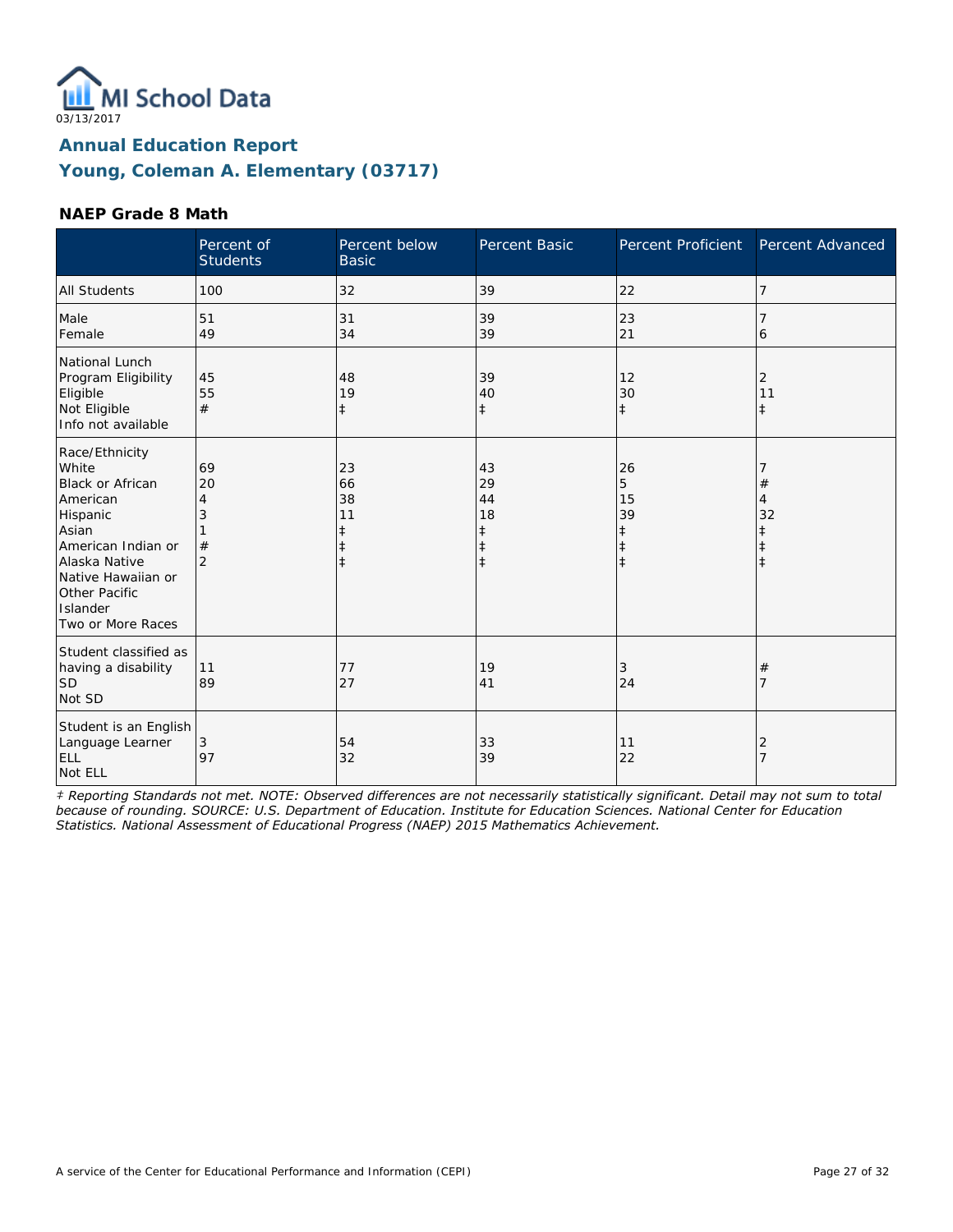

#### **NAEP Grade 8 Math**

|                                                                                                                                                                                                    | Percent of<br><b>Students</b>             | Percent below<br><b>Basic</b>                         | Percent Basic                                         | Percent Proficient                              | Percent Advanced                |
|----------------------------------------------------------------------------------------------------------------------------------------------------------------------------------------------------|-------------------------------------------|-------------------------------------------------------|-------------------------------------------------------|-------------------------------------------------|---------------------------------|
| <b>All Students</b>                                                                                                                                                                                | 100                                       | 32                                                    | 39                                                    | 22                                              | 7                               |
| Male<br>Female                                                                                                                                                                                     | 51<br>49                                  | 31<br>34                                              | 39<br>39                                              | 23<br>21                                        | 6                               |
| National Lunch<br>Program Eligibility<br>Eligible<br>Not Eligible<br>Info not available                                                                                                            | 45<br>55<br>#                             | 48<br>19<br>$\ddagger$                                | 39<br>40<br>$\ddagger$                                | 12<br>30<br>$\ddagger$                          | 2<br>11<br>$\pm$                |
| Race/Ethnicity<br>White<br><b>Black or African</b><br>American<br>Hispanic<br>Asian<br>American Indian or<br>Alaska Native<br>Native Hawaiian or<br>Other Pacific<br>Islander<br>Two or More Races | 69<br>20<br>4<br>3<br>#<br>$\overline{2}$ | 23<br>66<br>38<br>11<br>ŧ<br>$\ddagger$<br>$\ddagger$ | 43<br>29<br>44<br>18<br>ŧ<br>$\ddagger$<br>$\ddagger$ | 26<br>5<br>15<br>39<br>$\ddagger$<br>$\ddagger$ | $^{\#}$<br>$\overline{4}$<br>32 |
| Student classified as<br>having a disability<br><b>SD</b><br>Not SD                                                                                                                                | 11<br>89                                  | 77<br>27                                              | 19<br>41                                              | 3<br>24                                         | $^{\#}$<br>7                    |
| Student is an English<br>Language Learner<br>ELL<br>Not ELL                                                                                                                                        | 3<br>97                                   | 54<br>32                                              | 33<br>39                                              | 11<br>22                                        | 2<br>$\overline{7}$             |

*‡ Reporting Standards not met. NOTE: Observed differences are not necessarily statistically significant. Detail may not sum to total because of rounding. SOURCE: U.S. Department of Education. Institute for Education Sciences. National Center for Education Statistics. National Assessment of Educational Progress (NAEP) 2015 Mathematics Achievement.*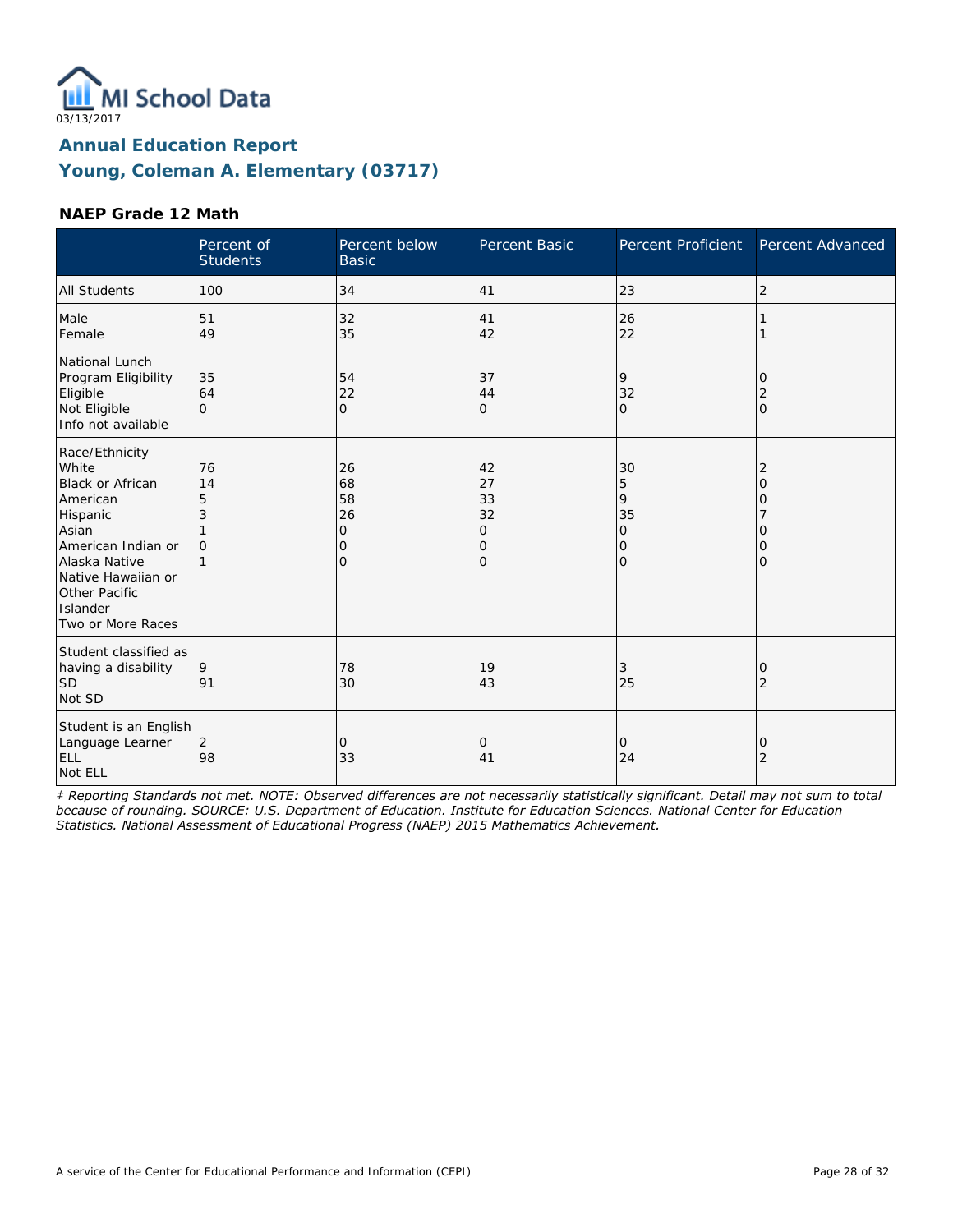

#### **NAEP Grade 12 Math**

|                                                                                                                                                                                                    | Percent of<br><b>Students</b>  | Percent below<br><b>Basic</b>                            | Percent Basic                       | Percent Proficient                       | Percent Advanced      |
|----------------------------------------------------------------------------------------------------------------------------------------------------------------------------------------------------|--------------------------------|----------------------------------------------------------|-------------------------------------|------------------------------------------|-----------------------|
| <b>All Students</b>                                                                                                                                                                                | 100                            | 34                                                       | 41                                  | 23                                       | 2                     |
| Male<br>Female                                                                                                                                                                                     | 51<br>49                       | 32<br>35                                                 | 41<br>42                            | 26<br>22                                 |                       |
| National Lunch<br>Program Eligibility<br>Eligible<br>Not Eligible<br>Info not available                                                                                                            | 35<br>64<br>$\Omega$           | 54<br>22<br>$\mathbf{O}$                                 | 37<br>44<br>O                       | 9<br>32<br>$\mathbf{O}$                  | O<br>2<br>$\Omega$    |
| Race/Ethnicity<br>White<br><b>Black or African</b><br>American<br>Hispanic<br>Asian<br>American Indian or<br>Alaska Native<br>Native Hawaiian or<br>Other Pacific<br>Islander<br>Two or More Races | 76<br>14<br>5<br>3<br>$\Omega$ | 26<br>68<br>58<br>26<br>$\mathbf{O}$<br>0<br>$\mathbf 0$ | 42<br>27<br>33<br>32<br>0<br>0<br>0 | 30<br>5<br>9<br>35<br>0<br>0<br>$\Omega$ | 2<br>Ω<br>Ω<br>0<br>Ω |
| Student classified as<br>having a disability<br><b>SD</b><br>Not SD                                                                                                                                | 9<br>91                        | 78<br>30                                                 | 19<br>43                            | 3<br>25                                  | O<br>2                |
| Student is an English<br>Language Learner<br>ELL<br>Not ELL                                                                                                                                        | 2<br>98                        | 0<br>33                                                  | 0<br>41                             | 0<br>24                                  | 0<br>2                |

*‡ Reporting Standards not met. NOTE: Observed differences are not necessarily statistically significant. Detail may not sum to total because of rounding. SOURCE: U.S. Department of Education. Institute for Education Sciences. National Center for Education Statistics. National Assessment of Educational Progress (NAEP) 2015 Mathematics Achievement.*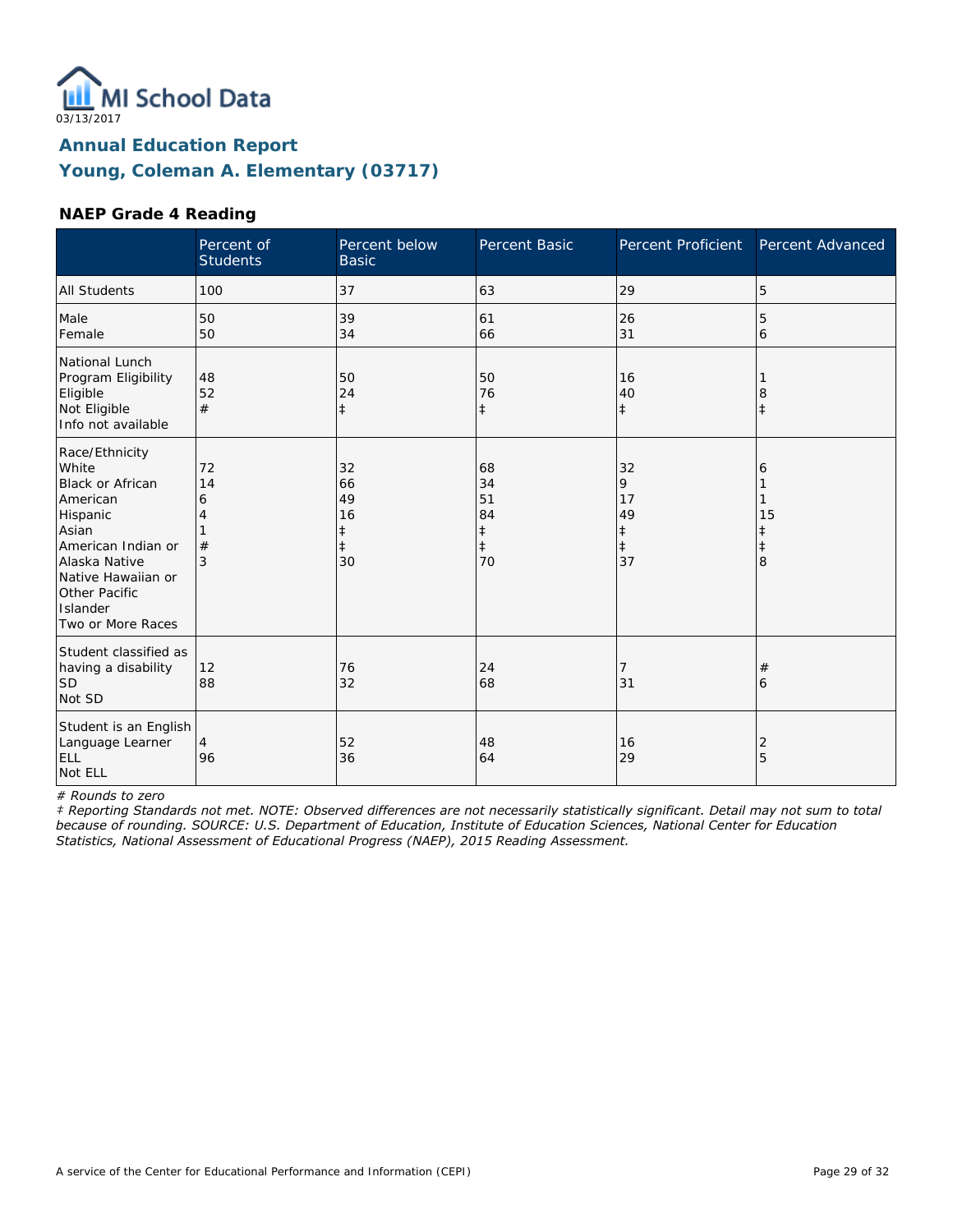

#### **NAEP Grade 4 Reading**

|                                                                                                                                                                                                    | Percent of<br><b>Students</b> | Percent below<br><b>Basic</b>                 | Percent Basic                                          | <b>Percent Proficient</b>                    | Percent Advanced                |
|----------------------------------------------------------------------------------------------------------------------------------------------------------------------------------------------------|-------------------------------|-----------------------------------------------|--------------------------------------------------------|----------------------------------------------|---------------------------------|
| <b>All Students</b>                                                                                                                                                                                | 100                           | 37                                            | 63                                                     | 29                                           | 5                               |
| Male<br>Female                                                                                                                                                                                     | 50<br>50                      | 39<br>34                                      | 61<br>66                                               | 26<br>31                                     | 5<br>6                          |
| National Lunch<br>Program Eligibility<br>Eligible<br>Not Eligible<br>Info not available                                                                                                            | 48<br>52<br>#                 | 50<br>24<br>$\ddagger$                        | 50<br>76<br>$\ddagger$                                 | 16<br>40<br>$\ddagger$                       | 8                               |
| Race/Ethnicity<br>White<br><b>Black or African</b><br>American<br>Hispanic<br>Asian<br>American Indian or<br>Alaska Native<br>Native Hawaiian or<br>Other Pacific<br>Islander<br>Two or More Races | 72<br>14<br>6<br>4<br>#<br>3  | 32<br>66<br>49<br>16<br>ŧ<br>$\ddagger$<br>30 | 68<br>34<br>51<br>84<br>$\ddagger$<br>$\ddagger$<br>70 | 32<br>9<br>17<br>49<br>‡<br>$\ddagger$<br>37 | 6<br>15<br>ŧ<br>$\ddagger$<br>8 |
| Student classified as<br>having a disability<br><b>SD</b><br>Not SD                                                                                                                                | 12<br>88                      | 76<br>32                                      | 24<br>68                                               | 7<br>31                                      | #<br>6                          |
| Student is an English<br>Language Learner<br>ELL<br>Not ELL                                                                                                                                        | 4<br>96                       | 52<br>36                                      | 48<br>64                                               | 16<br>29                                     | 2<br>5                          |

*# Rounds to zero*

*‡ Reporting Standards not met. NOTE: Observed differences are not necessarily statistically significant. Detail may not sum to total because of rounding. SOURCE: U.S. Department of Education, Institute of Education Sciences, National Center for Education Statistics, National Assessment of Educational Progress (NAEP), 2015 Reading Assessment.*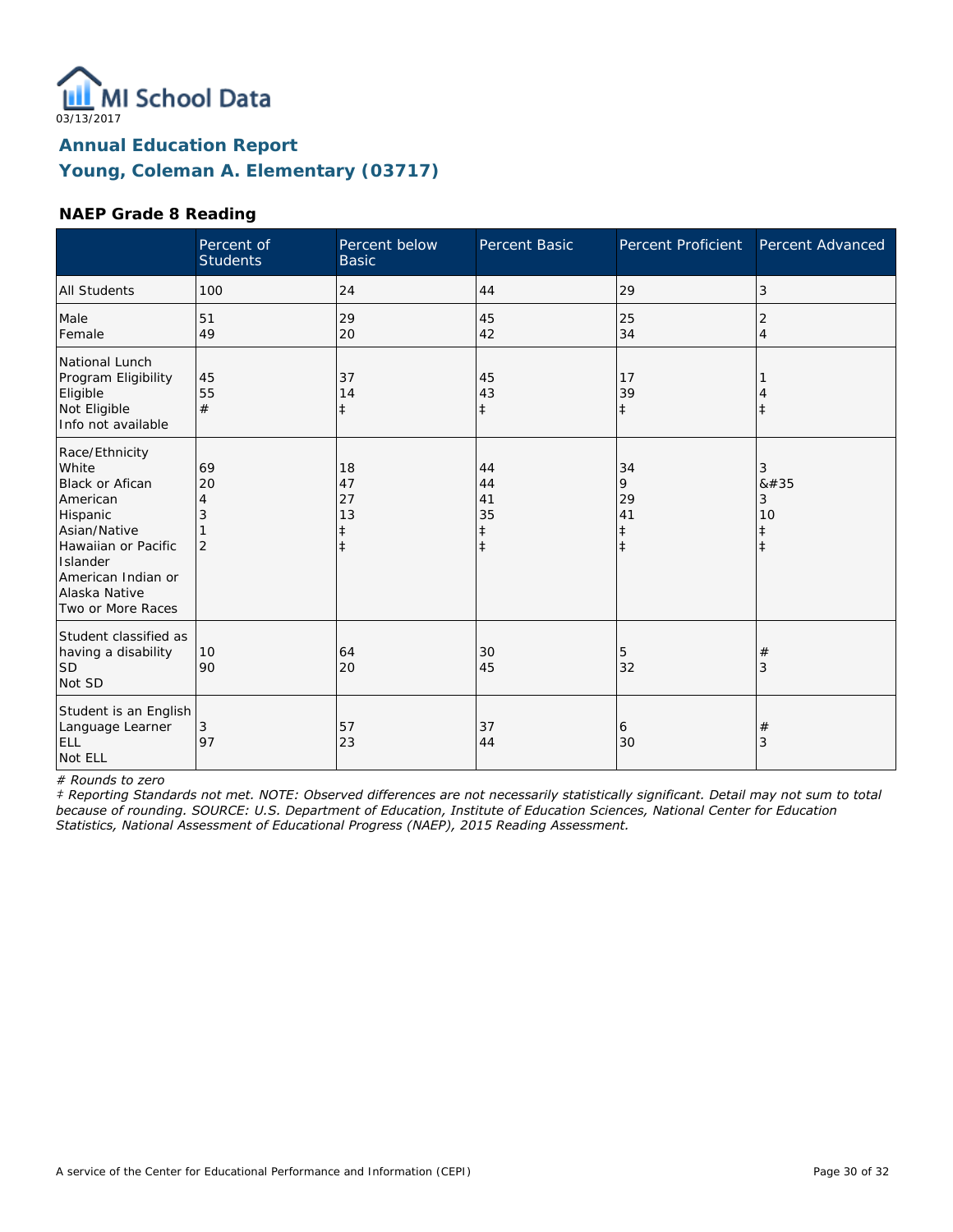

#### **NAEP Grade 8 Reading**

|                                                                                                                                                                                          | Percent of<br><b>Students</b>        | Percent below<br><b>Basic</b>                    | Percent Basic                                    | Percent Proficient                              | Percent Advanced                        |
|------------------------------------------------------------------------------------------------------------------------------------------------------------------------------------------|--------------------------------------|--------------------------------------------------|--------------------------------------------------|-------------------------------------------------|-----------------------------------------|
| <b>All Students</b>                                                                                                                                                                      | 100                                  | 24                                               | 44                                               | 29                                              | 3                                       |
| Male<br>Female                                                                                                                                                                           | 51<br>49                             | 29<br>20                                         | 45<br>42                                         | 25<br>34                                        | 2<br>$\overline{4}$                     |
| National Lunch<br>Program Eligibility<br>Eligible<br>Not Eligible<br>Info not available                                                                                                  | 45<br>55<br>#                        | 37<br>14<br>$\ddagger$                           | 45<br>43<br>$\ddagger$                           | 17<br>39<br>$\ddagger$                          | $\ddagger$                              |
| Race/Ethnicity<br>White<br><b>Black or Afican</b><br>American<br>Hispanic<br>Asian/Native<br>Hawaiian or Pacific<br>Islander<br>American Indian or<br>Alaska Native<br>Two or More Races | 69<br>20<br>4<br>3<br>$\overline{2}$ | 18<br>47<br>27<br>13<br>$\ddagger$<br>$\ddagger$ | 44<br>44<br>41<br>35<br>$\ddagger$<br>$\ddagger$ | 34<br>9<br>29<br>41<br>$\ddagger$<br>$\ddagger$ | 3<br>8#35<br>3<br>10<br>‡<br>$\ddagger$ |
| Student classified as<br>having a disability<br><b>SD</b><br>Not SD                                                                                                                      | 10<br>90                             | 64<br>20                                         | 30<br>45                                         | 5<br>32                                         | #<br>3                                  |
| Student is an English<br>Language Learner<br>ELL<br>Not ELL                                                                                                                              | 3<br>97                              | 57<br>23                                         | 37<br>44                                         | 6<br>30                                         | $^{\#}$<br>3                            |

*# Rounds to zero*

*‡ Reporting Standards not met. NOTE: Observed differences are not necessarily statistically significant. Detail may not sum to total because of rounding. SOURCE: U.S. Department of Education, Institute of Education Sciences, National Center for Education Statistics, National Assessment of Educational Progress (NAEP), 2015 Reading Assessment.*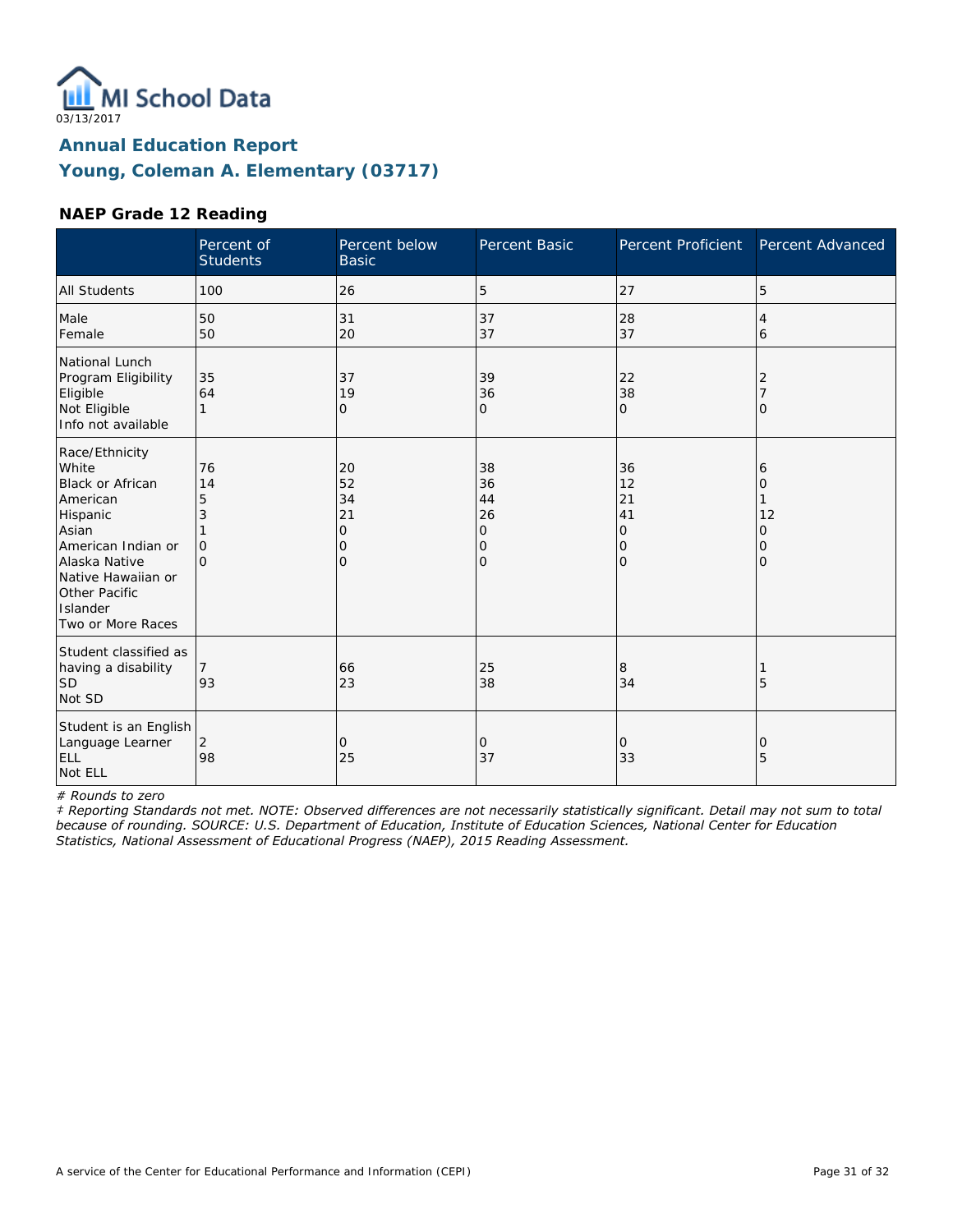

#### **NAEP Grade 12 Reading**

|                                                                                                                                                                                             | Percent of<br><b>Students</b>              | Percent below<br><b>Basic</b>                    | Percent Basic                                    | <b>Percent Proficient</b>            | Percent Advanced                   |
|---------------------------------------------------------------------------------------------------------------------------------------------------------------------------------------------|--------------------------------------------|--------------------------------------------------|--------------------------------------------------|--------------------------------------|------------------------------------|
| <b>All Students</b>                                                                                                                                                                         | 100                                        | 26                                               | 5                                                | 27                                   | 5                                  |
| Male<br>Female                                                                                                                                                                              | 50<br>50                                   | 31<br>20                                         | 37<br>37                                         | 28<br>37                             | 4<br>6                             |
| National Lunch<br>Program Eligibility<br>Eligible<br>Not Eligible<br>Info not available                                                                                                     | 35<br>64<br>1                              | 37<br>19<br>$\mathbf{O}$                         | 39<br>36<br>O                                    | 22<br>38<br>$\mathbf{O}$             | 2<br>O                             |
| Race/Ethnicity<br>White<br>Black or African<br>American<br>Hispanic<br>Asian<br>American Indian or<br>Alaska Native<br>Native Hawaiian or<br>Other Pacific<br>Islander<br>Two or More Races | 76<br>14<br>5<br>3<br>$\Omega$<br>$\Omega$ | 20<br>52<br>34<br>21<br>0<br>0<br>$\overline{O}$ | 38<br>36<br>44<br>26<br>0<br>0<br>$\overline{O}$ | 36<br>12<br>21<br>41<br>0<br>0<br>lo | 6<br>0<br>12<br>0<br>0<br>$\Omega$ |
| Student classified as<br>having a disability<br><b>SD</b><br>Not SD                                                                                                                         | 93                                         | 66<br>23                                         | 25<br>38                                         | 8<br>34                              | 5                                  |
| Student is an English<br>Language Learner<br>ELL<br>Not ELL                                                                                                                                 | 2<br>98                                    | 0<br>25                                          | 0<br>37                                          | 0<br>33                              | 0<br>5                             |

*# Rounds to zero*

*‡ Reporting Standards not met. NOTE: Observed differences are not necessarily statistically significant. Detail may not sum to total because of rounding. SOURCE: U.S. Department of Education, Institute of Education Sciences, National Center for Education Statistics, National Assessment of Educational Progress (NAEP), 2015 Reading Assessment.*